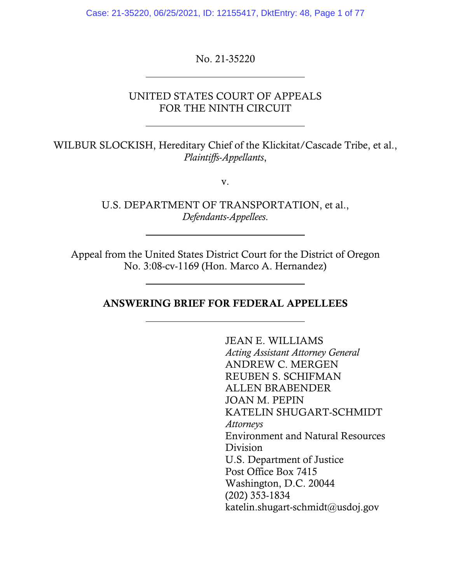Case: 21-35220, 06/25/2021, ID: 12155417, DktEntry: 48, Page 1 of 77

No. 21-35220

 $\overline{a}$ 

 $\overline{\phantom{a}}$ 

 $\overline{\phantom{a}}$ 

### UNITED STATES COURT OF APPEALS FOR THE NINTH CIRCUIT

WILBUR SLOCKISH, Hereditary Chief of the Klickitat/Cascade Tribe, et al., *Plaintiffs-Appellants*,

v.

U.S. DEPARTMENT OF TRANSPORTATION, et al., *Defendants-Appellees*.

Appeal from the United States District Court for the District of Oregon No. 3:08-cv-1169 (Hon. Marco A. Hernandez)

ANSWERING BRIEF FOR FEDERAL APPELLEES

JEAN E. WILLIAMS *Acting Assistant Attorney General*  ANDREW C. MERGEN REUBEN S. SCHIFMAN ALLEN BRABENDER JOAN M. PEPIN KATELIN SHUGART-SCHMIDT *Attorneys*  Environment and Natural Resources Division U.S. Department of Justice Post Office Box 7415 Washington, D.C. 20044 (202) 353-1834 katelin.shugart-schmidt@usdoj.gov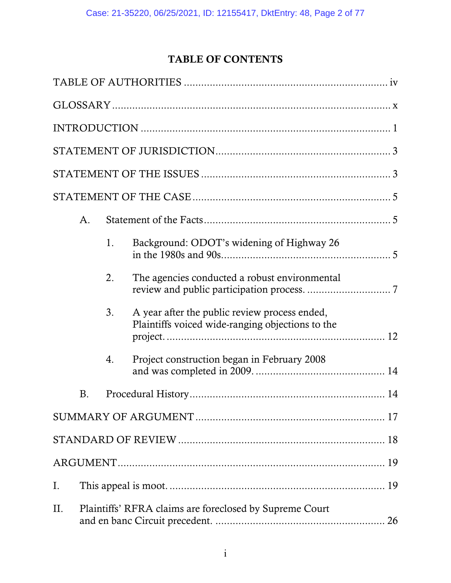# TABLE OF CONTENTS

|     | A.                                                      |    |                                                                                                   |
|-----|---------------------------------------------------------|----|---------------------------------------------------------------------------------------------------|
|     |                                                         | 1. | Background: ODOT's widening of Highway 26                                                         |
|     |                                                         | 2. | The agencies conducted a robust environmental                                                     |
|     |                                                         | 3. | A year after the public review process ended,<br>Plaintiffs voiced wide-ranging objections to the |
|     |                                                         | 4. | Project construction began in February 2008                                                       |
|     | <b>B.</b>                                               |    |                                                                                                   |
|     |                                                         |    |                                                                                                   |
|     |                                                         |    |                                                                                                   |
|     |                                                         |    |                                                                                                   |
| I.  |                                                         |    |                                                                                                   |
| II. | Plaintiffs' RFRA claims are foreclosed by Supreme Court |    |                                                                                                   |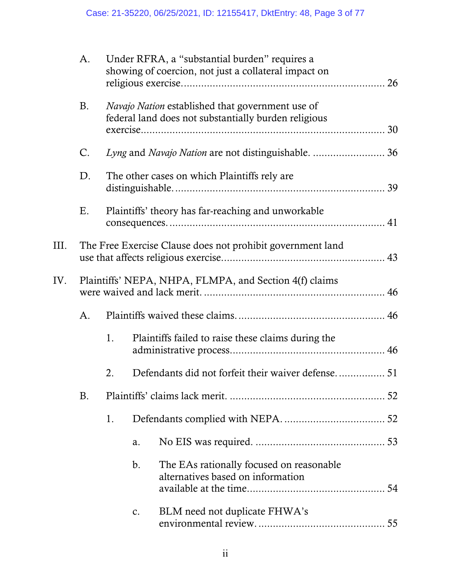|      | A.        |                                                            |    | Under RFRA, a "substantial burden" requires a<br>showing of coercion, not just a collateral impact on           | 26 |
|------|-----------|------------------------------------------------------------|----|-----------------------------------------------------------------------------------------------------------------|----|
|      | Β.        |                                                            |    | <i>Navajo Nation</i> established that government use of<br>federal land does not substantially burden religious | 30 |
|      | C.        |                                                            |    | Lyng and Navajo Nation are not distinguishable.  36                                                             |    |
|      | D.        |                                                            |    | The other cases on which Plaintiffs rely are.                                                                   |    |
|      | Ε.        |                                                            |    | Plaintiffs' theory has far-reaching and unworkable                                                              |    |
| III. |           | The Free Exercise Clause does not prohibit government land |    |                                                                                                                 |    |
| IV.  |           | Plaintiffs' NEPA, NHPA, FLMPA, and Section 4(f) claims     |    |                                                                                                                 |    |
|      | A.        |                                                            |    |                                                                                                                 |    |
|      |           | 1.                                                         |    | Plaintiffs failed to raise these claims during the                                                              |    |
|      |           | 2.                                                         |    |                                                                                                                 |    |
|      | <b>B.</b> |                                                            |    |                                                                                                                 |    |
|      |           | 1.                                                         |    |                                                                                                                 |    |
|      |           |                                                            | a. |                                                                                                                 |    |
|      |           |                                                            | b. | The EAs rationally focused on reasonable<br>alternatives based on information                                   |    |
|      |           |                                                            | c. | BLM need not duplicate FHWA's                                                                                   |    |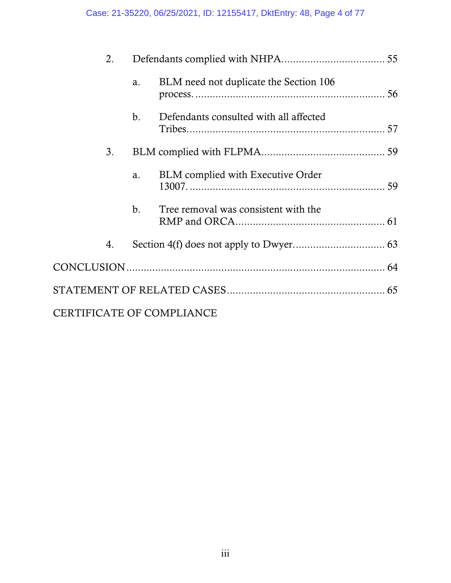| 2.                               |    |                                          |  |
|----------------------------------|----|------------------------------------------|--|
|                                  | a. | BLM need not duplicate the Section 106   |  |
|                                  | b. | Defendants consulted with all affected   |  |
| 3.                               |    |                                          |  |
|                                  | a. | <b>BLM</b> complied with Executive Order |  |
|                                  | b. | Tree removal was consistent with the     |  |
| 4.                               |    |                                          |  |
|                                  |    |                                          |  |
|                                  |    |                                          |  |
| <b>CERTIFICATE OF COMPLIANCE</b> |    |                                          |  |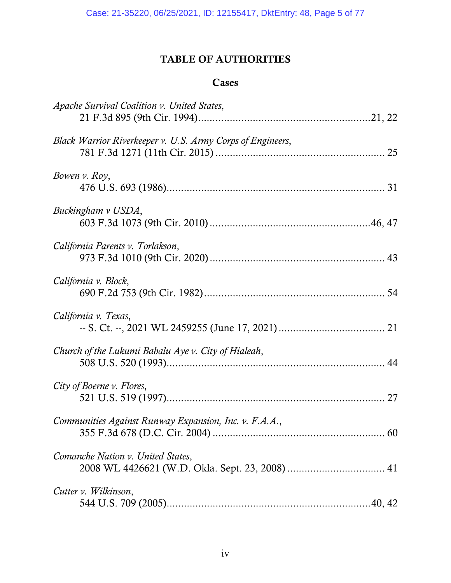# TABLE OF AUTHORITIES

## Cases

| Apache Survival Coalition v. United States,                |
|------------------------------------------------------------|
| Black Warrior Riverkeeper v. U.S. Army Corps of Engineers, |
| Bowen v. Roy,                                              |
| Buckingham v USDA,                                         |
| California Parents v. Torlakson,                           |
| California v. Block,                                       |
| California v. Texas,                                       |
| Church of the Lukumi Babalu Aye v. City of Hialeah,        |
| City of Boerne v. Flores,                                  |
| Communities Against Runway Expansion, Inc. v. F.A.A.,      |
| Comanche Nation v. United States,                          |
| Cutter v. Wilkinson,                                       |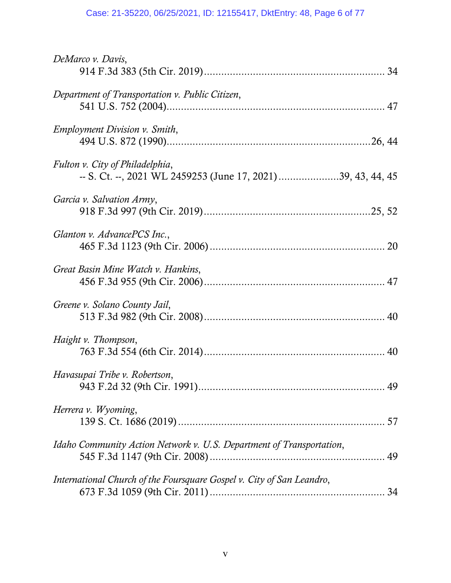# Case: 21-35220, 06/25/2021, ID: 12155417, DktEntry: 48, Page 6 of 77

| DeMarco v. Davis,                                                                               |
|-------------------------------------------------------------------------------------------------|
| Department of Transportation v. Public Citizen,                                                 |
| <i>Employment Division v. Smith,</i>                                                            |
| Fulton v. City of Philadelphia,<br>-- S. Ct. --, 2021 WL 2459253 (June 17, 2021) 39, 43, 44, 45 |
| Garcia v. Salvation Army,                                                                       |
| Glanton v. AdvancePCS Inc.,                                                                     |
| Great Basin Mine Watch v. Hankins,                                                              |
| Greene v. Solano County Jail,                                                                   |
| Haight v. Thompson,                                                                             |
| Havasupai Tribe v. Robertson,                                                                   |
| Herrera v. Wyoming,                                                                             |
| Idaho Community Action Network v. U.S. Department of Transportation,                            |
| International Church of the Foursquare Gospel v. City of San Leandro,                           |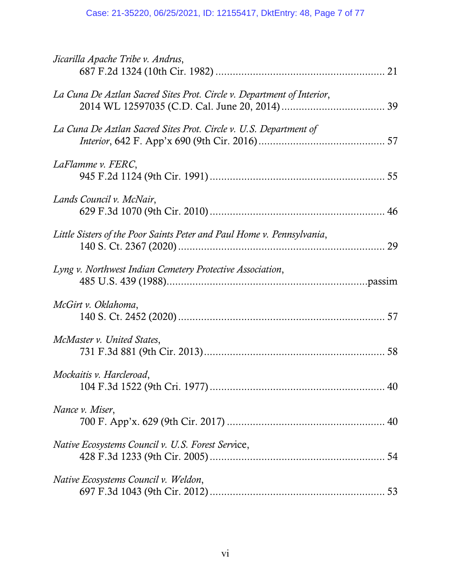| Jicarilla Apache Tribe v. Andrus,                                      |
|------------------------------------------------------------------------|
| La Cuna De Aztlan Sacred Sites Prot. Circle v. Department of Interior, |
| La Cuna De Aztlan Sacred Sites Prot. Circle v. U.S. Department of      |
| LaFlamme v. FERC,                                                      |
| Lands Council v. McNair,                                               |
| Little Sisters of the Poor Saints Peter and Paul Home v. Pennsylvania, |
| Lyng v. Northwest Indian Cemetery Protective Association,              |
| McGirt v. Oklahoma,                                                    |
| McMaster v. United States,                                             |
| Mockaitis v. Harcleroad,                                               |
| Nance v. Miser,                                                        |
| Native Ecosystems Council v. U.S. Forest Service,                      |
| Native Ecosystems Council v. Weldon,                                   |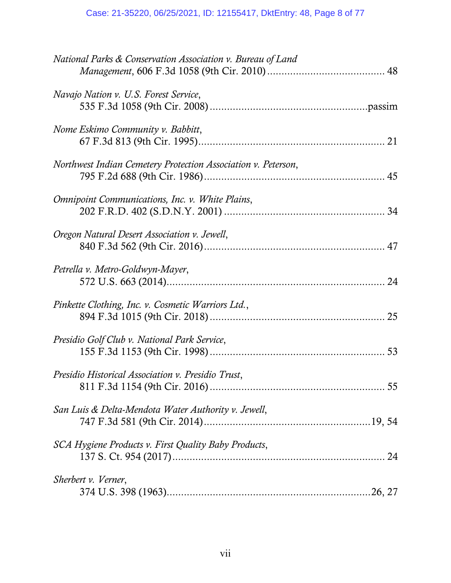| National Parks & Conservation Association v. Bureau of Land   |
|---------------------------------------------------------------|
| Navajo Nation v. U.S. Forest Service,                         |
| Nome Eskimo Community v. Babbitt,                             |
| Northwest Indian Cemetery Protection Association v. Peterson, |
| <i>Omnipoint Communications, Inc. v. White Plains,</i>        |
| Oregon Natural Desert Association v. Jewell,                  |
| Petrella v. Metro-Goldwyn-Mayer,                              |
| Pinkette Clothing, Inc. v. Cosmetic Warriors Ltd.,            |
| Presidio Golf Club v. National Park Service,                  |
| Presidio Historical Association v. Presidio Trust,            |
| San Luis & Delta-Mendota Water Authority v. Jewell,           |
| SCA Hygiene Products v. First Quality Baby Products,          |
| Sherbert v. Verner,                                           |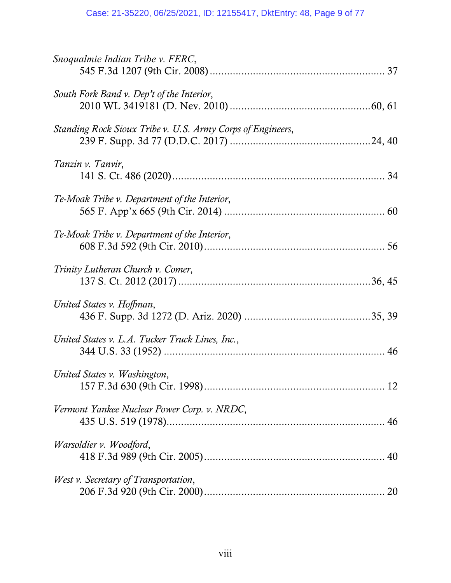| Snoqualmie Indian Tribe v. FERC,                           |  |
|------------------------------------------------------------|--|
| South Fork Band v. Dep't of the Interior,                  |  |
| Standing Rock Sioux Tribe v. U.S. Army Corps of Engineers, |  |
| Tanzin v. Tanvir,                                          |  |
| Te-Moak Tribe v. Department of the Interior,               |  |
| Te-Moak Tribe v. Department of the Interior,               |  |
| Trinity Lutheran Church v. Comer,                          |  |
| United States v. Hoffman,                                  |  |
| United States v. L.A. Tucker Truck Lines, Inc.,            |  |
| United States v. Washington,                               |  |
| Vermont Yankee Nuclear Power Corp. v. NRDC,                |  |
| Warsoldier v. Woodford,                                    |  |
| West v. Secretary of Transportation,                       |  |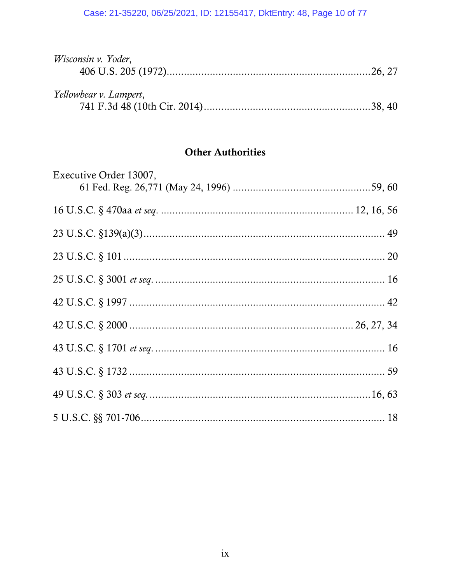## Case: 21-35220, 06/25/2021, ID: 12155417, DktEntry: 48, Page 10 of 77

| Wisconsin v. Yoder,    |  |
|------------------------|--|
| Yellowbear v. Lampert, |  |

# **Other Authorities**

| Executive Order 13007, |  |
|------------------------|--|
|                        |  |
|                        |  |
|                        |  |
|                        |  |
|                        |  |
|                        |  |
|                        |  |
|                        |  |
|                        |  |
|                        |  |
|                        |  |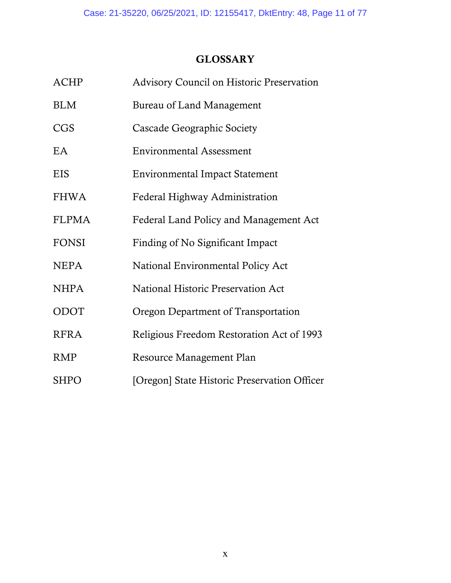# **GLOSSARY**

| <b>ACHP</b>  | Advisory Council on Historic Preservation    |
|--------------|----------------------------------------------|
| <b>BLM</b>   | Bureau of Land Management                    |
| CGS          | Cascade Geographic Society                   |
| EA           | <b>Environmental Assessment</b>              |
| <b>EIS</b>   | <b>Environmental Impact Statement</b>        |
| <b>FHWA</b>  | Federal Highway Administration               |
| <b>FLPMA</b> | Federal Land Policy and Management Act       |
| <b>FONSI</b> | Finding of No Significant Impact             |
| <b>NEPA</b>  | National Environmental Policy Act            |
| <b>NHPA</b>  | <b>National Historic Preservation Act</b>    |
| <b>ODOT</b>  | Oregon Department of Transportation          |
| <b>RFRA</b>  | Religious Freedom Restoration Act of 1993    |
| <b>RMP</b>   | Resource Management Plan                     |
| <b>SHPO</b>  | [Oregon] State Historic Preservation Officer |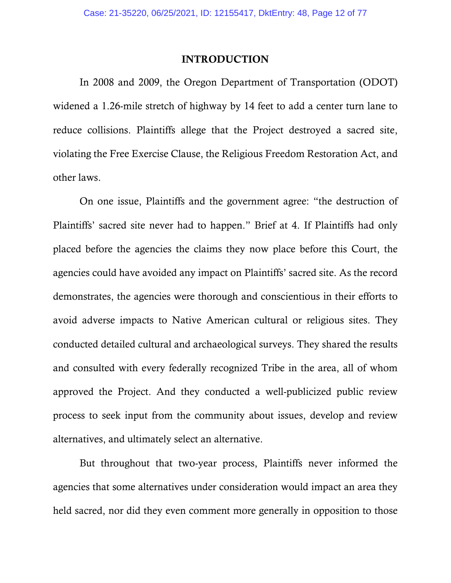### INTRODUCTION

In 2008 and 2009, the Oregon Department of Transportation (ODOT) widened a 1.26-mile stretch of highway by 14 feet to add a center turn lane to reduce collisions. Plaintiffs allege that the Project destroyed a sacred site, violating the Free Exercise Clause, the Religious Freedom Restoration Act, and other laws.

On one issue, Plaintiffs and the government agree: "the destruction of Plaintiffs' sacred site never had to happen." Brief at 4. If Plaintiffs had only placed before the agencies the claims they now place before this Court, the agencies could have avoided any impact on Plaintiffs' sacred site. As the record demonstrates, the agencies were thorough and conscientious in their efforts to avoid adverse impacts to Native American cultural or religious sites. They conducted detailed cultural and archaeological surveys. They shared the results and consulted with every federally recognized Tribe in the area, all of whom approved the Project. And they conducted a well-publicized public review process to seek input from the community about issues, develop and review alternatives, and ultimately select an alternative.

But throughout that two-year process, Plaintiffs never informed the agencies that some alternatives under consideration would impact an area they held sacred, nor did they even comment more generally in opposition to those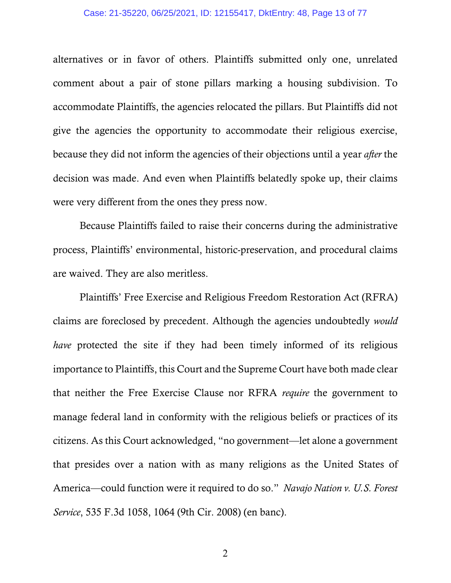#### Case: 21-35220, 06/25/2021, ID: 12155417, DktEntry: 48, Page 13 of 77

alternatives or in favor of others. Plaintiffs submitted only one, unrelated comment about a pair of stone pillars marking a housing subdivision. To accommodate Plaintiffs, the agencies relocated the pillars. But Plaintiffs did not give the agencies the opportunity to accommodate their religious exercise, because they did not inform the agencies of their objections until a year *after* the decision was made. And even when Plaintiffs belatedly spoke up, their claims were very different from the ones they press now.

Because Plaintiffs failed to raise their concerns during the administrative process, Plaintiffs' environmental, historic-preservation, and procedural claims are waived. They are also meritless.

Plaintiffs' Free Exercise and Religious Freedom Restoration Act (RFRA) claims are foreclosed by precedent. Although the agencies undoubtedly *would have* protected the site if they had been timely informed of its religious importance to Plaintiffs, this Court and the Supreme Court have both made clear that neither the Free Exercise Clause nor RFRA *require* the government to manage federal land in conformity with the religious beliefs or practices of its citizens. As this Court acknowledged, "no government—let alone a government that presides over a nation with as many religions as the United States of America—could function were it required to do so." *Navajo Nation v. U.S. Forest Service*, 535 F.3d 1058, 1064 (9th Cir. 2008) (en banc).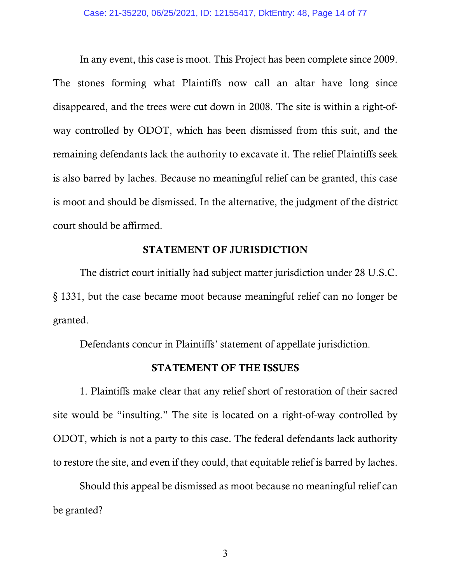In any event, this case is moot. This Project has been complete since 2009. The stones forming what Plaintiffs now call an altar have long since disappeared, and the trees were cut down in 2008. The site is within a right-ofway controlled by ODOT, which has been dismissed from this suit, and the remaining defendants lack the authority to excavate it. The relief Plaintiffs seek is also barred by laches. Because no meaningful relief can be granted, this case is moot and should be dismissed. In the alternative, the judgment of the district court should be affirmed.

## STATEMENT OF JURISDICTION

 The district court initially had subject matter jurisdiction under 28 U.S.C. §-1331, but the case became moot because meaningful relief can no longer be granted.

Defendants concur in Plaintiffs' statement of appellate jurisdiction.

### STATEMENT OF THE ISSUES

 1. Plaintiffs make clear that any relief short of restoration of their sacred site would be "insulting." The site is located on a right-of-way controlled by ODOT, which is not a party to this case. The federal defendants lack authority to restore the site, and even if they could, that equitable relief is barred by laches.

 Should this appeal be dismissed as moot because no meaningful relief can be granted?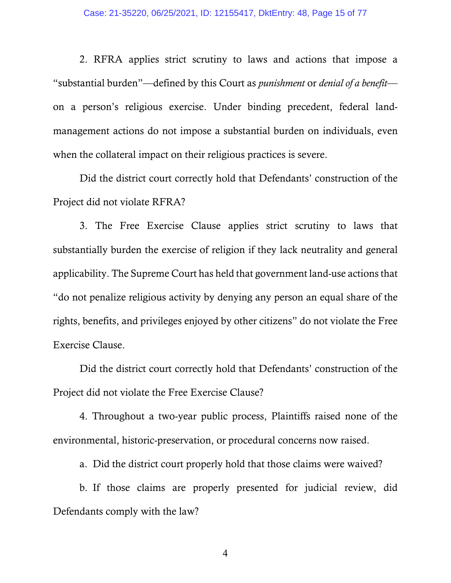2. RFRA applies strict scrutiny to laws and actions that impose a "substantial burden"—defined by this Court as *punishment* or *denial of a benefit* on a person's religious exercise. Under binding precedent, federal landmanagement actions do not impose a substantial burden on individuals, even when the collateral impact on their religious practices is severe.

 Did the district court correctly hold that Defendants' construction of the Project did not violate RFRA?

 3. The Free Exercise Clause applies strict scrutiny to laws that substantially burden the exercise of religion if they lack neutrality and general applicability. The Supreme Court has held that government land-use actions that "do not penalize religious activity by denying any person an equal share of the rights, benefits, and privileges enjoyed by other citizens" do not violate the Free Exercise Clause.

 Did the district court correctly hold that Defendants' construction of the Project did not violate the Free Exercise Clause?

 4. Throughout a two-year public process, Plaintiffs raised none of the environmental, historic-preservation, or procedural concerns now raised.

a. Did the district court properly hold that those claims were waived?

b. If those claims are properly presented for judicial review, did Defendants comply with the law?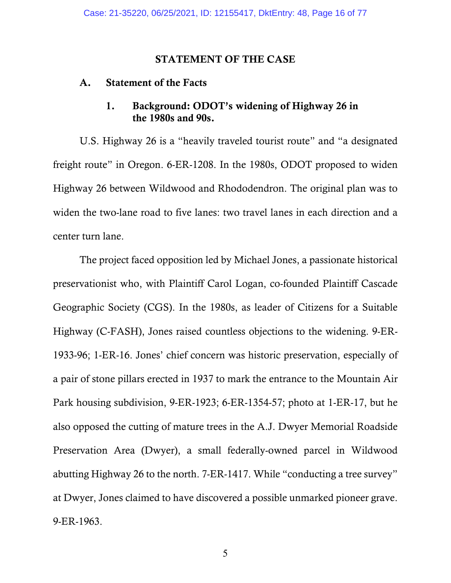### STATEMENT OF THE CASE

### A. Statement of the Facts

## 1. Background: ODOT's widening of Highway 26 in the 1980s and 90s.

 U.S. Highway 26 is a "heavily traveled tourist route" and "a designated freight route" in Oregon. 6-ER-1208. In the 1980s, ODOT proposed to widen Highway 26 between Wildwood and Rhododendron. The original plan was to widen the two-lane road to five lanes: two travel lanes in each direction and a center turn lane.

 The project faced opposition led by Michael Jones, a passionate historical preservationist who, with Plaintiff Carol Logan, co-founded Plaintiff Cascade Geographic Society (CGS). In the 1980s, as leader of Citizens for a Suitable Highway (C-FASH), Jones raised countless objections to the widening. 9-ER-1933-96; 1-ER-16. Jones' chief concern was historic preservation, especially of a pair of stone pillars erected in 1937 to mark the entrance to the Mountain Air Park housing subdivision, 9-ER-1923; 6-ER-1354-57; photo at 1-ER-17, but he also opposed the cutting of mature trees in the A.J. Dwyer Memorial Roadside Preservation Area (Dwyer), a small federally-owned parcel in Wildwood abutting Highway 26 to the north. 7-ER-1417. While "conducting a tree survey" at Dwyer, Jones claimed to have discovered a possible unmarked pioneer grave. 9-ER-1963.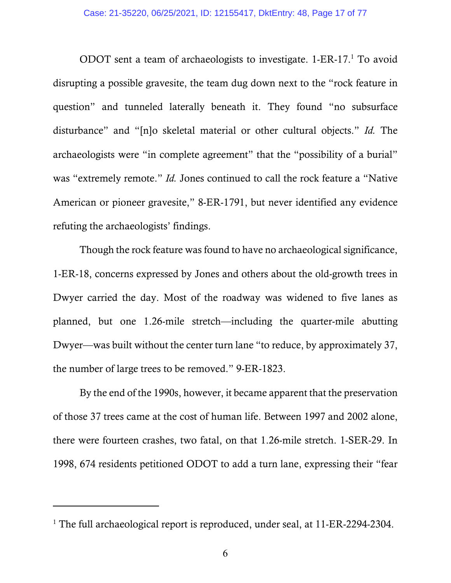ODOT sent a team of archaeologists to investigate. 1-ER-17.1 To avoid disrupting a possible gravesite, the team dug down next to the "rock feature in question" and tunneled laterally beneath it. They found "no subsurface disturbance" and "[n]o skeletal material or other cultural objects." *Id.* The archaeologists were "in complete agreement" that the "possibility of a burial" was "extremely remote." *Id.* Jones continued to call the rock feature a "Native American or pioneer gravesite," 8-ER-1791, but never identified any evidence refuting the archaeologists' findings.

 Though the rock feature was found to have no archaeological significance, 1-ER-18, concerns expressed by Jones and others about the old-growth trees in Dwyer carried the day. Most of the roadway was widened to five lanes as planned, but one 1.26-mile stretch—including the quarter-mile abutting Dwyer—was built without the center turn lane "to reduce, by approximately 37, the number of large trees to be removed." 9-ER-1823.

 By the end of the 1990s, however, it became apparent that the preservation of those 37 trees came at the cost of human life. Between 1997 and 2002 alone, there were fourteen crashes, two fatal, on that 1.26-mile stretch. 1-SER-29. In 1998, 674 residents petitioned ODOT to add a turn lane, expressing their "fear

 $\overline{a}$ 

<sup>&</sup>lt;sup>1</sup> The full archaeological report is reproduced, under seal, at 11-ER-2294-2304.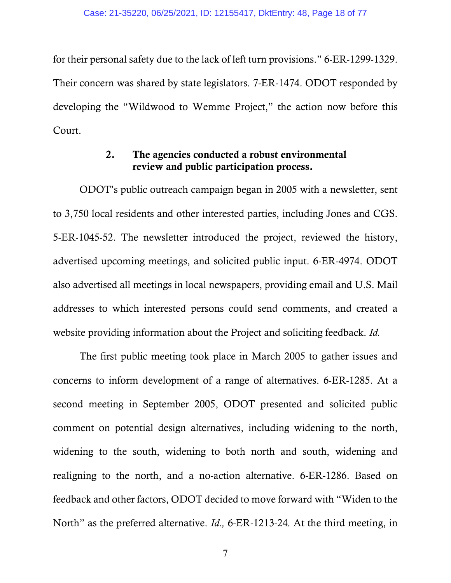for their personal safety due to the lack of left turn provisions." 6-ER-1299-1329. Their concern was shared by state legislators. 7-ER-1474. ODOT responded by developing the "Wildwood to Wemme Project," the action now before this Court.

## 2. The agencies conducted a robust environmental review and public participation process.

 ODOT's public outreach campaign began in 2005 with a newsletter, sent to 3,750 local residents and other interested parties, including Jones and CGS. 5-ER-1045-52. The newsletter introduced the project, reviewed the history, advertised upcoming meetings, and solicited public input. 6-ER-4974. ODOT also advertised all meetings in local newspapers, providing email and U.S. Mail addresses to which interested persons could send comments, and created a website providing information about the Project and soliciting feedback. *Id.*

 The first public meeting took place in March 2005 to gather issues and concerns to inform development of a range of alternatives. 6-ER-1285. At a second meeting in September 2005, ODOT presented and solicited public comment on potential design alternatives, including widening to the north, widening to the south, widening to both north and south, widening and realigning to the north, and a no-action alternative. 6-ER-1286. Based on feedback and other factors, ODOT decided to move forward with "Widen to the North" as the preferred alternative. *Id.,* 6-ER-1213-24*.* At the third meeting, in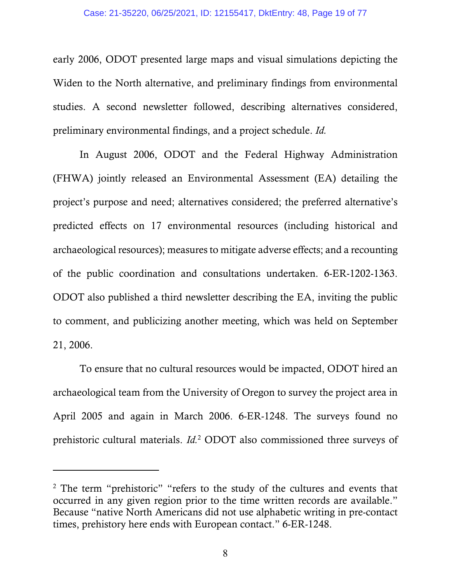early 2006, ODOT presented large maps and visual simulations depicting the Widen to the North alternative, and preliminary findings from environmental studies. A second newsletter followed, describing alternatives considered, preliminary environmental findings, and a project schedule. *Id.*

 In August 2006, ODOT and the Federal Highway Administration (FHWA) jointly released an Environmental Assessment (EA) detailing the project's purpose and need; alternatives considered; the preferred alternative's predicted effects on 17 environmental resources (including historical and archaeological resources); measures to mitigate adverse effects; and a recounting of the public coordination and consultations undertaken. 6-ER-1202-1363. ODOT also published a third newsletter describing the EA, inviting the public to comment, and publicizing another meeting, which was held on September 21, 2006.

 To ensure that no cultural resources would be impacted, ODOT hired an archaeological team from the University of Oregon to survey the project area in April 2005 and again in March 2006. 6-ER-1248. The surveys found no prehistoric cultural materials. *Id.*<sup>2</sup> ODOT also commissioned three surveys of

 $\overline{a}$ 

<sup>&</sup>lt;sup>2</sup> The term "prehistoric" "refers to the study of the cultures and events that occurred in any given region prior to the time written records are available." Because "native North Americans did not use alphabetic writing in pre-contact times, prehistory here ends with European contact." 6-ER-1248.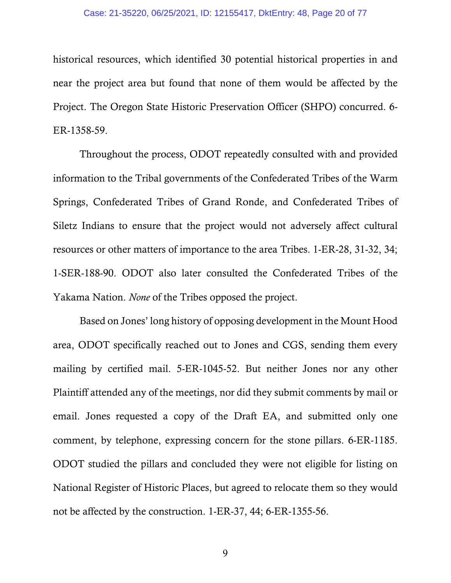#### Case: 21-35220, 06/25/2021, ID: 12155417, DktEntry: 48, Page 20 of 77

historical resources, which identified 30 potential historical properties in and near the project area but found that none of them would be affected by the Project. The Oregon State Historic Preservation Officer (SHPO) concurred. 6- ER-1358-59.

 Throughout the process, ODOT repeatedly consulted with and provided information to the Tribal governments of the Confederated Tribes of the Warm Springs, Confederated Tribes of Grand Ronde, and Confederated Tribes of Siletz Indians to ensure that the project would not adversely affect cultural resources or other matters of importance to the area Tribes. 1-ER-28, 31-32, 34; 1-SER-188-90. ODOT also later consulted the Confederated Tribes of the Yakama Nation. *None* of the Tribes opposed the project.

 Based on Jones' long history of opposing development in the Mount Hood area, ODOT specifically reached out to Jones and CGS, sending them every mailing by certified mail. 5-ER-1045-52. But neither Jones nor any other Plaintiff attended any of the meetings, nor did they submit comments by mail or email. Jones requested a copy of the Draft EA, and submitted only one comment, by telephone, expressing concern for the stone pillars. 6-ER-1185. ODOT studied the pillars and concluded they were not eligible for listing on National Register of Historic Places, but agreed to relocate them so they would not be affected by the construction. 1-ER-37, 44; 6-ER-1355-56.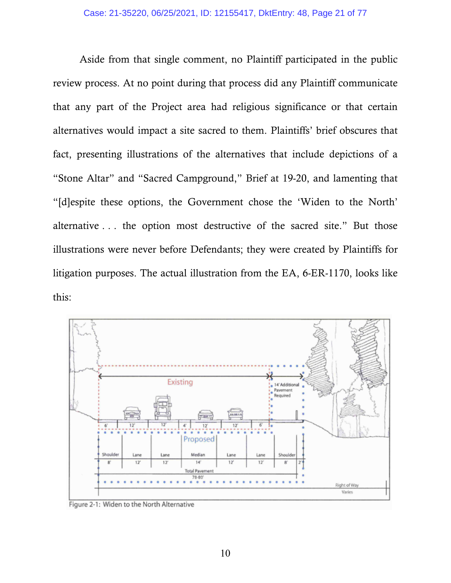Aside from that single comment, no Plaintiff participated in the public review process. At no point during that process did any Plaintiff communicate that any part of the Project area had religious significance or that certain alternatives would impact a site sacred to them. Plaintiffs' brief obscures that fact, presenting illustrations of the alternatives that include depictions of a "Stone Altar" and "Sacred Campground," Brief at 19-20, and lamenting that "[d]espite these options, the Government chose the 'Widen to the North' alternative... the option most destructive of the sacred site." But those illustrations were never before Defendants; they were created by Plaintiffs for litigation purposes. The actual illustration from the EA, 6-ER-1170, looks like this:



Figure 2-1: Widen to the North Alternative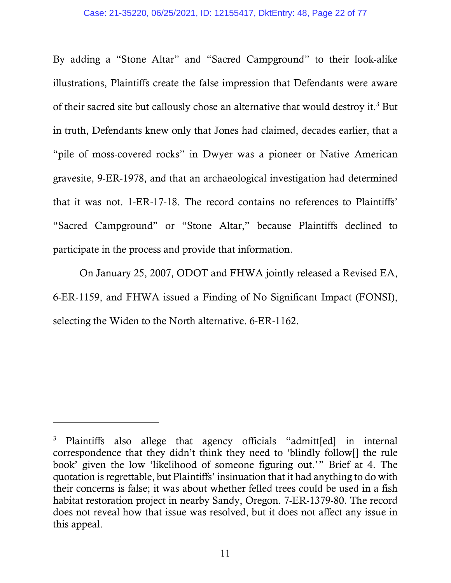By adding a "Stone Altar" and "Sacred Campground" to their look-alike illustrations, Plaintiffs create the false impression that Defendants were aware of their sacred site but callously chose an alternative that would destroy it.<sup>3</sup> But in truth, Defendants knew only that Jones had claimed, decades earlier, that a "pile of moss-covered rocks" in Dwyer was a pioneer or Native American gravesite, 9-ER-1978, and that an archaeological investigation had determined that it was not. 1-ER-17-18. The record contains no references to Plaintiffs' "Sacred Campground" or "Stone Altar," because Plaintiffs declined to participate in the process and provide that information.

 On January 25, 2007, ODOT and FHWA jointly released a Revised EA, 6-ER-1159, and FHWA issued a Finding of No Significant Impact (FONSI), selecting the Widen to the North alternative. 6-ER-1162.

-

<sup>3</sup> Plaintiffs also allege that agency officials "admitt[ed] in internal correspondence that they didn't think they need to 'blindly follow[] the rule book' given the low 'likelihood of someone figuring out.'" Brief at 4. The quotation is regrettable, but Plaintiffs' insinuation that it had anything to do with their concerns is false; it was about whether felled trees could be used in a fish habitat restoration project in nearby Sandy, Oregon. 7-ER-1379-80. The record does not reveal how that issue was resolved, but it does not affect any issue in this appeal.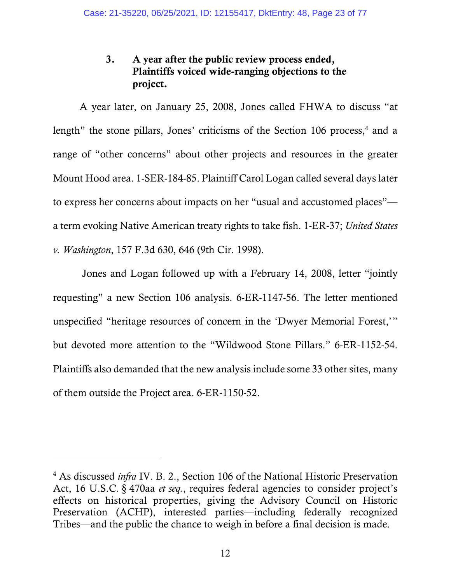# 3. A year after the public review process ended, Plaintiffs voiced wide-ranging objections to the project.

 A year later, on January 25, 2008, Jones called FHWA to discuss "at length" the stone pillars, Jones' criticisms of the Section 106 process,<sup>4</sup> and a range of "other concerns" about other projects and resources in the greater Mount Hood area. 1-SER-184-85. Plaintiff Carol Logan called several days later to express her concerns about impacts on her "usual and accustomed places" a term evoking Native American treaty rights to take fish. 1-ER-37; *United States v. Washington*, 157 F.3d 630, 646 (9th Cir. 1998).

 Jones and Logan followed up with a February 14, 2008, letter "jointly requesting" a new Section 106 analysis. 6-ER-1147-56. The letter mentioned unspecified "heritage resources of concern in the 'Dwyer Memorial Forest,'" but devoted more attention to the "Wildwood Stone Pillars." 6-ER-1152-54. Plaintiffs also demanded that the new analysis include some 33 other sites, many of them outside the Project area. 6-ER-1150-52.

l

<sup>&</sup>lt;sup>4</sup> As discussed *infra* IV. B. 2., Section 106 of the National Historic Preservation Act, 16 U.S.C. §-470aa *et seq.*, requires federal agencies to consider project's effects on historical properties, giving the Advisory Council on Historic Preservation (ACHP), interested parties—including federally recognized Tribes—and the public the chance to weigh in before a final decision is made.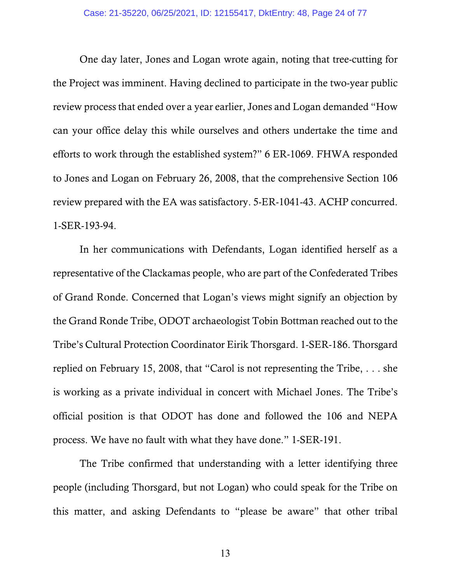One day later, Jones and Logan wrote again, noting that tree-cutting for the Project was imminent. Having declined to participate in the two-year public review process that ended over a year earlier, Jones and Logan demanded "How can your office delay this while ourselves and others undertake the time and efforts to work through the established system?" 6 ER-1069. FHWA responded to Jones and Logan on February 26, 2008, that the comprehensive Section 106 review prepared with the EA was satisfactory. 5-ER-1041-43. ACHP concurred. 1-SER-193-94.

 In her communications with Defendants, Logan identified herself as a representative of the Clackamas people, who are part of the Confederated Tribes of Grand Ronde. Concerned that Logan's views might signify an objection by the Grand Ronde Tribe, ODOT archaeologist Tobin Bottman reached out to the Tribe's Cultural Protection Coordinator Eirik Thorsgard. 1-SER-186. Thorsgard replied on February 15, 2008, that "Carol is not representing the Tribe,  $\dots$  she is working as a private individual in concert with Michael Jones. The Tribe's official position is that ODOT has done and followed the 106 and NEPA process. We have no fault with what they have done." 1-SER-191.

 The Tribe confirmed that understanding with a letter identifying three people (including Thorsgard, but not Logan) who could speak for the Tribe on this matter, and asking Defendants to "please be aware" that other tribal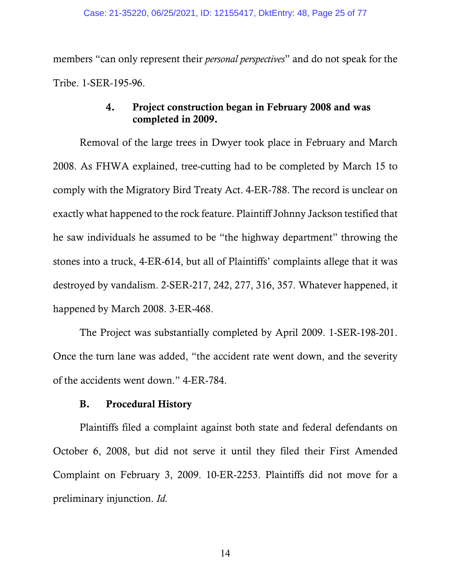members "can only represent their *personal perspectives*" and do not speak for the Tribe. 1-SER-195-96.

## 4. Project construction began in February 2008 and was completed in 2009.

Removal of the large trees in Dwyer took place in February and March 2008. As FHWA explained, tree-cutting had to be completed by March 15 to comply with the Migratory Bird Treaty Act. 4-ER-788. The record is unclear on exactly what happened to the rock feature. Plaintiff Johnny Jackson testified that he saw individuals he assumed to be "the highway department" throwing the stones into a truck, 4-ER-614, but all of Plaintiffs' complaints allege that it was destroyed by vandalism. 2-SER-217, 242, 277, 316, 357. Whatever happened, it happened by March 2008. 3-ER-468.

The Project was substantially completed by April 2009. 1-SER-198-201. Once the turn lane was added, "the accident rate went down, and the severity of the accidents went down." 4-ER-784.

## B. Procedural History

Plaintiffs filed a complaint against both state and federal defendants on October 6, 2008, but did not serve it until they filed their First Amended Complaint on February 3, 2009. 10-ER-2253. Plaintiffs did not move for a preliminary injunction. *Id.*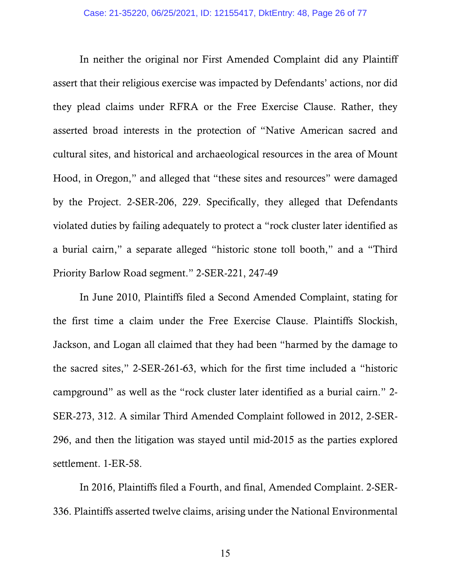In neither the original nor First Amended Complaint did any Plaintiff assert that their religious exercise was impacted by Defendants' actions, nor did they plead claims under RFRA or the Free Exercise Clause. Rather, they asserted broad interests in the protection of "Native American sacred and cultural sites, and historical and archaeological resources in the area of Mount Hood, in Oregon," and alleged that "these sites and resources" were damaged by the Project. 2-SER-206, 229. Specifically, they alleged that Defendants violated duties by failing adequately to protect a "rock cluster later identified as a burial cairn," a separate alleged "historic stone toll booth," and a "Third Priority Barlow Road segment." 2-SER-221, 247-49

In June 2010, Plaintiffs filed a Second Amended Complaint, stating for the first time a claim under the Free Exercise Clause. Plaintiffs Slockish, Jackson, and Logan all claimed that they had been "harmed by the damage to the sacred sites," 2-SER-261-63, which for the first time included a "historic campground" as well as the "rock cluster later identified as a burial cairn." 2- SER-273, 312. A similar Third Amended Complaint followed in 2012, 2-SER-296, and then the litigation was stayed until mid-2015 as the parties explored settlement. 1-ER-58.

In 2016, Plaintiffs filed a Fourth, and final, Amended Complaint. 2-SER-336. Plaintiffs asserted twelve claims, arising under the National Environmental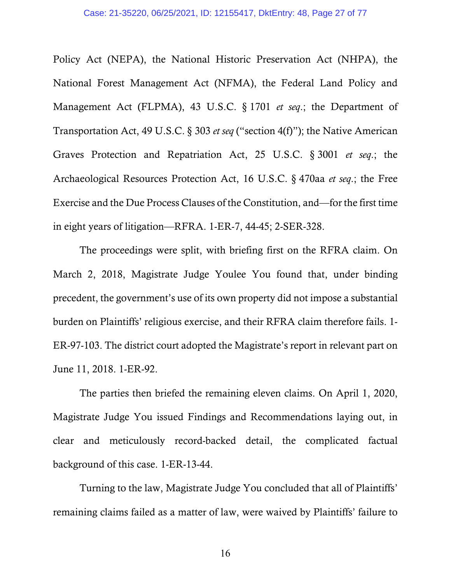Policy Act (NEPA), the National Historic Preservation Act (NHPA), the National Forest Management Act (NFMA), the Federal Land Policy and Management Act (FLPMA), 43 U.S.C. § 1701 *et seq.*; the Department of Transportation Act, 49 U.S.C. §-303 *et seq* ("section 4(f)"); the Native American Graves Protection and Repatriation Act, 25 U.S.C. §-3001 *et seq*.; the Archaeological Resources Protection Act, 16 U.S.C. §-470aa *et seq*.; the Free Exercise and the Due Process Clauses of the Constitution, and—for the first time in eight years of litigation—RFRA. 1-ER-7, 44-45; 2-SER-328.

The proceedings were split, with briefing first on the RFRA claim. On March 2, 2018, Magistrate Judge Youlee You found that, under binding precedent, the government's use of its own property did not impose a substantial burden on Plaintiffs' religious exercise, and their RFRA claim therefore fails. 1- ER-97-103. The district court adopted the Magistrate's report in relevant part on June 11, 2018. 1-ER-92.

The parties then briefed the remaining eleven claims. On April 1, 2020, Magistrate Judge You issued Findings and Recommendations laying out, in clear and meticulously record-backed detail, the complicated factual background of this case. 1-ER-13-44.

Turning to the law, Magistrate Judge You concluded that all of Plaintiffs' remaining claims failed as a matter of law, were waived by Plaintiffs' failure to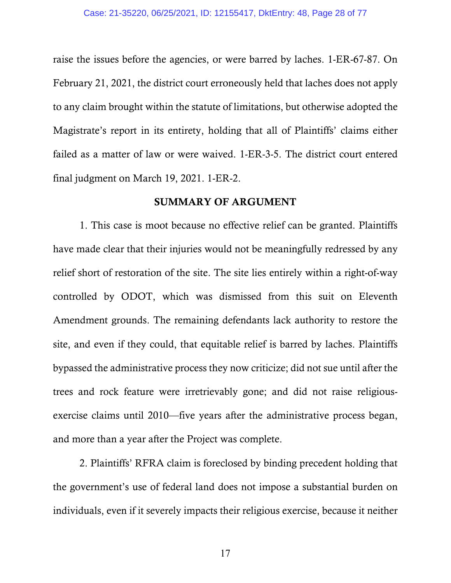raise the issues before the agencies, or were barred by laches. 1-ER-67-87. On February 21, 2021, the district court erroneously held that laches does not apply to any claim brought within the statute of limitations, but otherwise adopted the Magistrate's report in its entirety, holding that all of Plaintiffs' claims either failed as a matter of law or were waived. 1-ER-3-5. The district court entered final judgment on March 19, 2021. 1-ER-2.

### SUMMARY OF ARGUMENT

 1. This case is moot because no effective relief can be granted. Plaintiffs have made clear that their injuries would not be meaningfully redressed by any relief short of restoration of the site. The site lies entirely within a right-of-way controlled by ODOT, which was dismissed from this suit on Eleventh Amendment grounds. The remaining defendants lack authority to restore the site, and even if they could, that equitable relief is barred by laches. Plaintiffs bypassed the administrative process they now criticize; did not sue until after the trees and rock feature were irretrievably gone; and did not raise religiousexercise claims until 2010—five years after the administrative process began, and more than a year after the Project was complete.

 2. Plaintiffs' RFRA claim is foreclosed by binding precedent holding that the government's use of federal land does not impose a substantial burden on individuals, even if it severely impacts their religious exercise, because it neither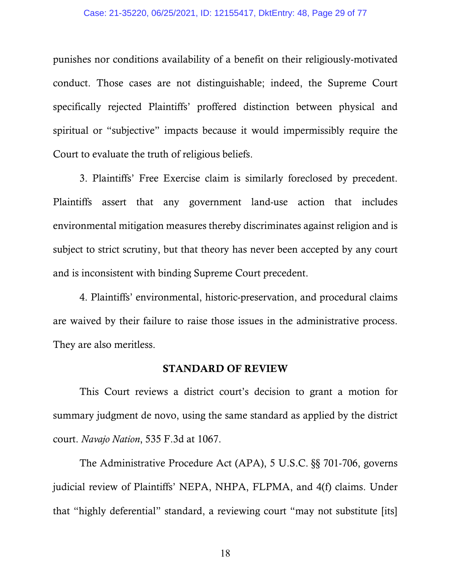#### Case: 21-35220, 06/25/2021, ID: 12155417, DktEntry: 48, Page 29 of 77

punishes nor conditions availability of a benefit on their religiously-motivated conduct. Those cases are not distinguishable; indeed, the Supreme Court specifically rejected Plaintiffs' proffered distinction between physical and spiritual or "subjective" impacts because it would impermissibly require the Court to evaluate the truth of religious beliefs.

 3. Plaintiffs' Free Exercise claim is similarly foreclosed by precedent. Plaintiffs assert that any government land-use action that includes environmental mitigation measures thereby discriminates against religion and is subject to strict scrutiny, but that theory has never been accepted by any court and is inconsistent with binding Supreme Court precedent.

 4. Plaintiffs' environmental, historic-preservation, and procedural claims are waived by their failure to raise those issues in the administrative process. They are also meritless.

### STANDARD OF REVIEW

 This Court reviews a district court's decision to grant a motion for summary judgment de novo, using the same standard as applied by the district court. *Navajo Nation*, 535 F.3d at 1067.

The Administrative Procedure Act (APA), 5 U.S.C. §§ 701-706, governs judicial review of Plaintiffs' NEPA, NHPA, FLPMA, and 4(f) claims. Under that "highly deferential" standard, a reviewing court "may not substitute [its]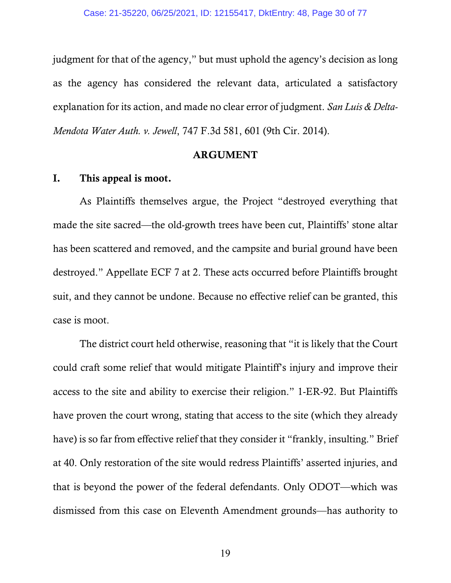judgment for that of the agency," but must uphold the agency's decision as long as the agency has considered the relevant data, articulated a satisfactory explanation for its action, and made no clear error of judgment. *San Luis & Delta-Mendota Water Auth. v. Jewell*, 747 F.3d 581, 601 (9th Cir. 2014).

### ARGUMENT

### I. This appeal is moot.

 As Plaintiffs themselves argue, the Project "destroyed everything that made the site sacred—the old-growth trees have been cut, Plaintiffs' stone altar has been scattered and removed, and the campsite and burial ground have been destroyed." Appellate ECF 7 at 2. These acts occurred before Plaintiffs brought suit, and they cannot be undone. Because no effective relief can be granted, this case is moot.

 The district court held otherwise, reasoning that "it is likely that the Court could craft some relief that would mitigate Plaintiff's injury and improve their access to the site and ability to exercise their religion." 1-ER-92. But Plaintiffs have proven the court wrong, stating that access to the site (which they already have) is so far from effective relief that they consider it "frankly, insulting." Brief at 40. Only restoration of the site would redress Plaintiffs' asserted injuries, and that is beyond the power of the federal defendants. Only ODOT—which was dismissed from this case on Eleventh Amendment grounds—has authority to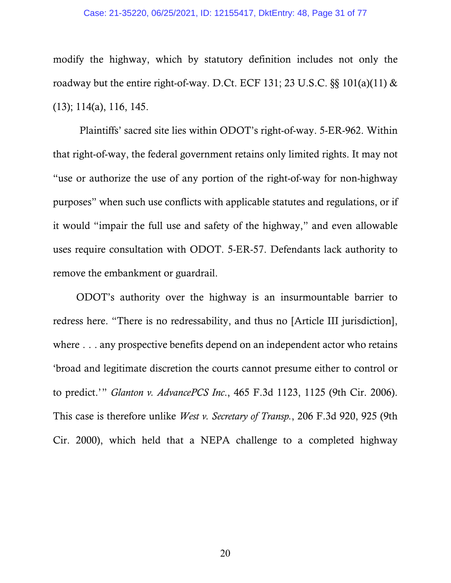#### Case: 21-35220, 06/25/2021, ID: 12155417, DktEntry: 48, Page 31 of 77

modify the highway, which by statutory definition includes not only the roadway but the entire right-of-way. D.Ct. ECF 131; 23 U.S.C.  $\S$ § 101(a)(11) & (13); 114(a), 116, 145.

 Plaintiffs' sacred site lies within ODOT's right-of-way. 5-ER-962. Within that right-of-way, the federal government retains only limited rights. It may not "use or authorize the use of any portion of the right-of-way for non-highway purposes" when such use conflicts with applicable statutes and regulations, or if it would "impair the full use and safety of the highway," and even allowable uses require consultation with ODOT. 5-ER-57. Defendants lack authority to remove the embankment or guardrail.

 ODOT's authority over the highway is an insurmountable barrier to redress here. "There is no redressability, and thus no [Article III jurisdiction], where  $\ldots$  any prospective benefits depend on an independent actor who retains 'broad and legitimate discretion the courts cannot presume either to control or to predict.'" *Glanton v. AdvancePCS Inc*., 465 F.3d 1123, 1125 (9th Cir. 2006). This case is therefore unlike *West v. Secretary of Transp.*, 206 F.3d 920, 925 (9th Cir. 2000), which held that a NEPA challenge to a completed highway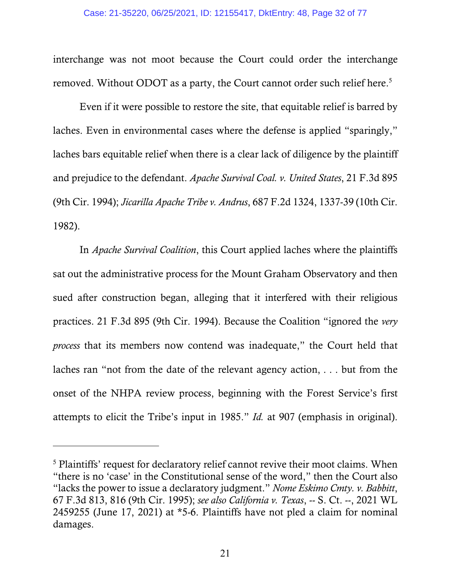interchange was not moot because the Court could order the interchange removed. Without ODOT as a party, the Court cannot order such relief here.<sup>5</sup>

 Even if it were possible to restore the site, that equitable relief is barred by laches. Even in environmental cases where the defense is applied "sparingly," laches bars equitable relief when there is a clear lack of diligence by the plaintiff and prejudice to the defendant. *Apache Survival Coal. v. United States*, 21 F.3d 895 (9th Cir. 1994); *Jicarilla Apache Tribe v. Andrus*, 687 F.2d 1324, 1337-39 (10th Cir. 1982).

 In *Apache Survival Coalition*, this Court applied laches where the plaintiffs sat out the administrative process for the Mount Graham Observatory and then sued after construction began, alleging that it interfered with their religious practices. 21 F.3d 895 (9th Cir. 1994). Because the Coalition "ignored the *very process* that its members now contend was inadequate," the Court held that laches ran "not from the date of the relevant agency action, $\ldots$  but from the onset of the NHPA review process, beginning with the Forest Service's first attempts to elicit the Tribe's input in 1985." *Id.* at 907 (emphasis in original).

 $\overline{a}$ 

<sup>&</sup>lt;sup>5</sup> Plaintiffs' request for declaratory relief cannot revive their moot claims. When "there is no 'case' in the Constitutional sense of the word," then the Court also "lacks the power to issue a declaratory judgment." *Nome Eskimo Cmty. v. Babbitt*, 67 F.3d 813, 816 (9th Cir. 1995); *see also California v. Texas*, -- S. Ct. --, 2021 WL 2459255 (June 17, 2021) at \*5-6. Plaintiffs have not pled a claim for nominal damages.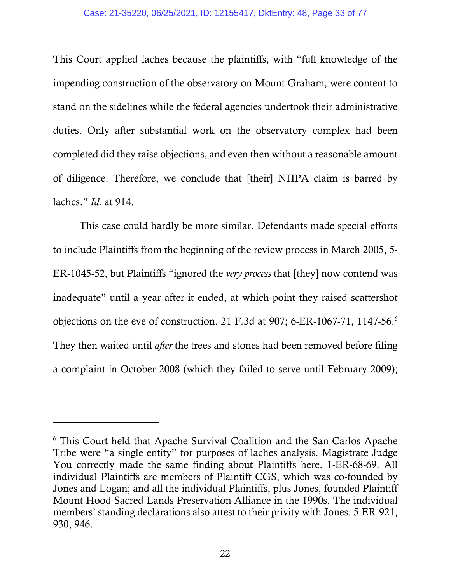### Case: 21-35220, 06/25/2021, ID: 12155417, DktEntry: 48, Page 33 of 77

This Court applied laches because the plaintiffs, with "full knowledge of the impending construction of the observatory on Mount Graham, were content to stand on the sidelines while the federal agencies undertook their administrative duties. Only after substantial work on the observatory complex had been completed did they raise objections, and even then without a reasonable amount of diligence. Therefore, we conclude that [their] NHPA claim is barred by laches." *Id.* at 914.

 This case could hardly be more similar. Defendants made special efforts to include Plaintiffs from the beginning of the review process in March 2005, 5- ER-1045-52, but Plaintiffs "ignored the *very process* that [they] now contend was inadequate" until a year after it ended, at which point they raised scattershot objections on the eve of construction. 21 F*.*3d at 907; 6-ER-1067-71, 1147-56.6 They then waited until *after* the trees and stones had been removed before filing a complaint in October 2008 (which they failed to serve until February 2009);

 $\overline{a}$ 

<sup>6</sup> This Court held that Apache Survival Coalition and the San Carlos Apache Tribe were "a single entity" for purposes of laches analysis. Magistrate Judge You correctly made the same finding about Plaintiffs here. 1-ER-68-69. All individual Plaintiffs are members of Plaintiff CGS, which was co-founded by Jones and Logan; and all the individual Plaintiffs, plus Jones, founded Plaintiff Mount Hood Sacred Lands Preservation Alliance in the 1990s. The individual members' standing declarations also attest to their privity with Jones. 5-ER-921, 930, 946.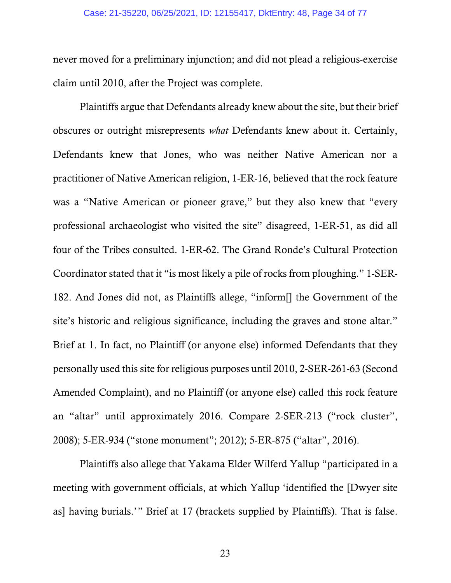#### Case: 21-35220, 06/25/2021, ID: 12155417, DktEntry: 48, Page 34 of 77

never moved for a preliminary injunction; and did not plead a religious-exercise claim until 2010, after the Project was complete.

 Plaintiffs argue that Defendants already knew about the site, but their brief obscures or outright misrepresents *what* Defendants knew about it. Certainly, Defendants knew that Jones, who was neither Native American nor a practitioner of Native American religion, 1-ER-16, believed that the rock feature was a "Native American or pioneer grave," but they also knew that "every professional archaeologist who visited the site" disagreed, 1-ER-51, as did all four of the Tribes consulted. 1-ER-62. The Grand Ronde's Cultural Protection Coordinator stated that it "is most likely a pile of rocks from ploughing." 1-SER-182. And Jones did not, as Plaintiffs allege, "inform[] the Government of the site's historic and religious significance, including the graves and stone altar." Brief at 1. In fact, no Plaintiff (or anyone else) informed Defendants that they personally used this site for religious purposes until 2010, 2-SER-261-63 (Second Amended Complaint), and no Plaintiff (or anyone else) called this rock feature an "altar" until approximately 2016. Compare 2-SER-213 ("rock cluster", 2008); 5-ER-934 ("stone monument"; 2012); 5-ER-875 ("altar", 2016).

 Plaintiffs also allege that Yakama Elder Wilferd Yallup "participated in a meeting with government officials, at which Yallup 'identified the [Dwyer site as] having burials.'" Brief at 17 (brackets supplied by Plaintiffs). That is false.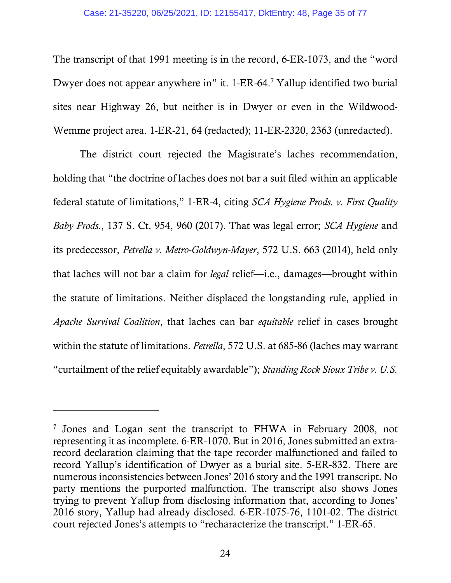The transcript of that 1991 meeting is in the record, 6-ER-1073, and the "word Dwyer does not appear anywhere in" it. 1-ER-64.<sup>7</sup> Yallup identified two burial sites near Highway 26, but neither is in Dwyer or even in the Wildwood-Wemme project area. 1-ER-21, 64 (redacted); 11-ER-2320, 2363 (unredacted).

 The district court rejected the Magistrate's laches recommendation, holding that "the doctrine of laches does not bar a suit filed within an applicable federal statute of limitations," 1-ER-4, citing *SCA Hygiene Prods. v. First Quality Baby Prods.*, 137 S. Ct. 954, 960 (2017). That was legal error; *SCA Hygiene* and its predecessor, *Petrella v. Metro-Goldwyn-Mayer*, 572 U.S. 663 (2014), held only that laches will not bar a claim for *legal* relief—i.e., damages—brought within the statute of limitations. Neither displaced the longstanding rule, applied in *Apache Survival Coalition*, that laches can bar *equitable* relief in cases brought within the statute of limitations. *Petrella*, 572 U.S. at 685-86 (laches may warrant "curtailment of the relief equitably awardable"); *Standing Rock Sioux Tribe v. U.S.* 

l

<sup>&</sup>lt;sup>7</sup> Jones and Logan sent the transcript to FHWA in February 2008, not representing it as incomplete. 6-ER-1070. But in 2016, Jones submitted an extrarecord declaration claiming that the tape recorder malfunctioned and failed to record Yallup's identification of Dwyer as a burial site. 5-ER-832. There are numerous inconsistencies between Jones' 2016 story and the 1991 transcript. No party mentions the purported malfunction. The transcript also shows Jones trying to prevent Yallup from disclosing information that, according to Jones' 2016 story, Yallup had already disclosed. 6-ER-1075-76, 1101-02. The district court rejected Jones's attempts to "recharacterize the transcript." 1-ER-65.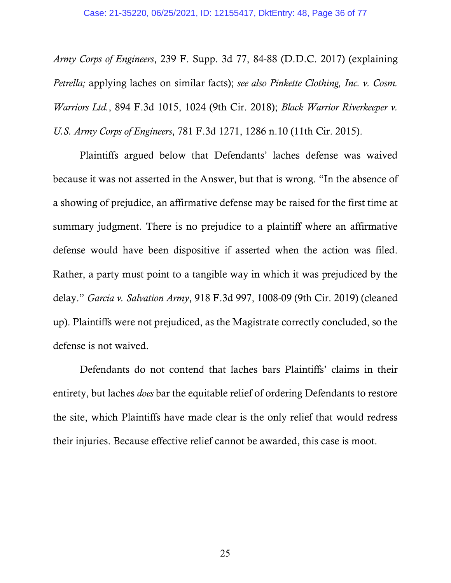*Army Corps of Engineers*, 239 F. Supp. 3d 77, 84-88 (D.D.C. 2017) (explaining *Petrella;* applying laches on similar facts); *see also Pinkette Clothing, Inc. v. Cosm. Warriors Ltd.*, 894 F.3d 1015, 1024 (9th Cir. 2018); *Black Warrior Riverkeeper v. U.S. Army Corps of Engineers*, 781 F.3d 1271, 1286 n.10 (11th Cir. 2015).

 Plaintiffs argued below that Defendants' laches defense was waived because it was not asserted in the Answer, but that is wrong. "In the absence of a showing of prejudice, an affirmative defense may be raised for the first time at summary judgment. There is no prejudice to a plaintiff where an affirmative defense would have been dispositive if asserted when the action was filed. Rather, a party must point to a tangible way in which it was prejudiced by the delay." *Garcia v. Salvation Army*, 918 F.3d 997, 1008-09 (9th Cir. 2019) (cleaned up). Plaintiffs were not prejudiced, as the Magistrate correctly concluded, so the defense is not waived.

 Defendants do not contend that laches bars Plaintiffs' claims in their entirety, but laches *does* bar the equitable relief of ordering Defendants to restore the site, which Plaintiffs have made clear is the only relief that would redress their injuries. Because effective relief cannot be awarded, this case is moot.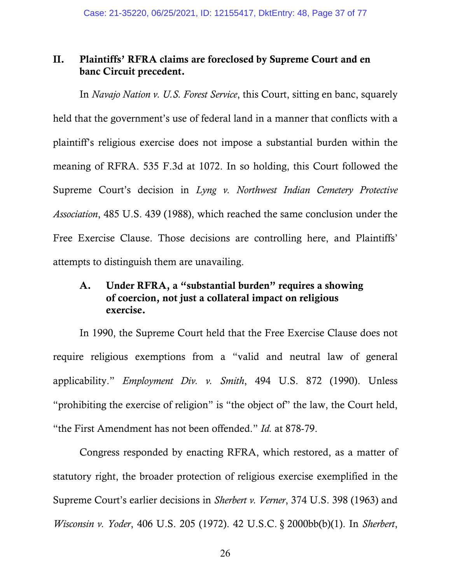# II. Plaintiffs' RFRA claims are foreclosed by Supreme Court and en banc Circuit precedent.

 In *Navajo Nation v. U.S. Forest Service*, this Court, sitting en banc, squarely held that the government's use of federal land in a manner that conflicts with a plaintiff's religious exercise does not impose a substantial burden within the meaning of RFRA. 535 F.3d at 1072. In so holding, this Court followed the Supreme Court's decision in *Lyng v. Northwest Indian Cemetery Protective Association*, 485 U.S. 439 (1988), which reached the same conclusion under the Free Exercise Clause. Those decisions are controlling here, and Plaintiffs' attempts to distinguish them are unavailing.

# A. Under RFRA, a "substantial burden" requires a showing of coercion, not just a collateral impact on religious exercise.

 In 1990, the Supreme Court held that the Free Exercise Clause does not require religious exemptions from a "valid and neutral law of general applicability." *Employment Div. v. Smith*, 494 U.S. 872 (1990). Unless "prohibiting the exercise of religion" is "the object of" the law, the Court held, "the First Amendment has not been offended." *Id.* at 878-79.

 Congress responded by enacting RFRA, which restored, as a matter of statutory right, the broader protection of religious exercise exemplified in the Supreme Court's earlier decisions in *Sherbert v. Verner*, 374 U.S. 398 (1963) and *Wisconsin v. Yoder*, 406 U.S. 205 (1972). 42 U.S.C. §-2000bb(b)(1). In *Sherbert*,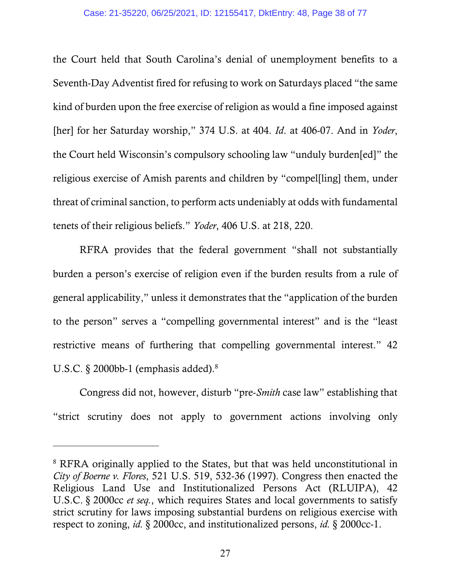#### Case: 21-35220, 06/25/2021, ID: 12155417, DktEntry: 48, Page 38 of 77

the Court held that South Carolina's denial of unemployment benefits to a Seventh-Day Adventist fired for refusing to work on Saturdays placed "the same kind of burden upon the free exercise of religion as would a fine imposed against [her] for her Saturday worship," 374 U.S. at 404. *Id*. at 406-07. And in *Yoder*, the Court held Wisconsin's compulsory schooling law "unduly burden[ed]" the religious exercise of Amish parents and children by "compel[ling] them, under threat of criminal sanction, to perform acts undeniably at odds with fundamental tenets of their religious beliefs." *Yoder*, 406 U.S. at 218, 220.

 RFRA provides that the federal government "shall not substantially burden a person's exercise of religion even if the burden results from a rule of general applicability," unless it demonstrates that the "application of the burden to the person" serves a "compelling governmental interest" and is the "least restrictive means of furthering that compelling governmental interest." 42 U.S.C.  $\S$  2000bb-1 (emphasis added).<sup>8</sup>

 Congress did not, however, disturb "pre-*Smith* case law" establishing that "strict scrutiny does not apply to government actions involving only

 $\overline{a}$ 

<sup>&</sup>lt;sup>8</sup> RFRA originally applied to the States, but that was held unconstitutional in *City of Boerne v. Flores*, 521 U.S. 519, 532-36 (1997). Congress then enacted the Religious Land Use and Institutionalized Persons Act (RLUIPA), 42 U.S.C. §-2000cc *et seq.*, which requires States and local governments to satisfy strict scrutiny for laws imposing substantial burdens on religious exercise with respect to zoning, *id.* §-2000cc, and institutionalized persons, *id.* §-2000cc-1.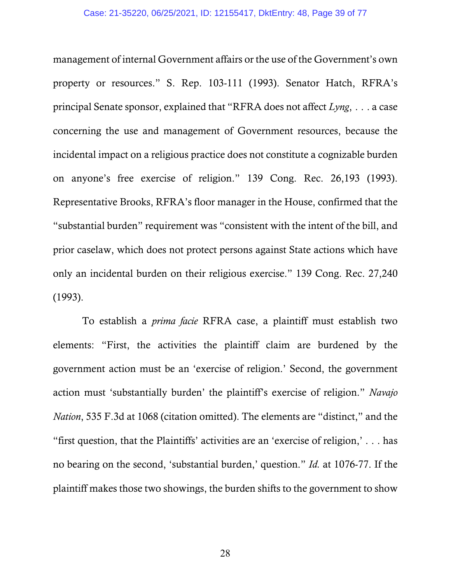management of internal Government affairs or the use of the Government's own property or resources." S. Rep. 103-111 (1993). Senator Hatch, RFRA's principal Senate sponsor, explained that "RFRA does not affect *Lyng*, . . . a case concerning the use and management of Government resources, because the incidental impact on a religious practice does not constitute a cognizable burden on anyone's free exercise of religion." 139 Cong. Rec. 26,193 (1993). Representative Brooks, RFRA's floor manager in the House, confirmed that the "substantial burden" requirement was "consistent with the intent of the bill, and prior caselaw, which does not protect persons against State actions which have only an incidental burden on their religious exercise." 139 Cong. Rec. 27,240 (1993).

 To establish a *prima facie* RFRA case, a plaintiff must establish two elements: "First, the activities the plaintiff claim are burdened by the government action must be an 'exercise of religion.' Second, the government action must 'substantially burden' the plaintiff's exercise of religion." *Navajo Nation*, 535 F.3d at 1068 (citation omitted). The elements are "distinct," and the "first question, that the Plaintiffs' activities are an 'exercise of religion,'... has no bearing on the second, 'substantial burden,' question." *Id.* at 1076-77. If the plaintiff makes those two showings, the burden shifts to the government to show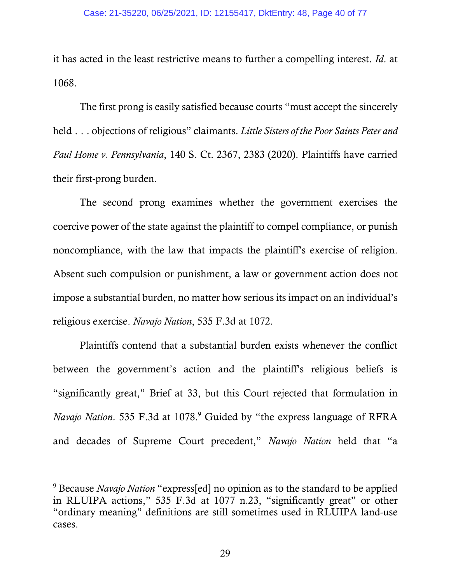it has acted in the least restrictive means to further a compelling interest. *Id*. at 1068.

 The first prong is easily satisfied because courts "must accept the sincerely held...objections of religious" claimants. *Little Sisters of the Poor Saints Peter and Paul Home v. Pennsylvania*, 140 S. Ct. 2367, 2383 (2020). Plaintiffs have carried their first-prong burden.

 The second prong examines whether the government exercises the coercive power of the state against the plaintiff to compel compliance, or punish noncompliance, with the law that impacts the plaintiff's exercise of religion. Absent such compulsion or punishment, a law or government action does not impose a substantial burden, no matter how serious its impact on an individual's religious exercise. *Navajo Nation*, 535 F.3d at 1072.

 Plaintiffs contend that a substantial burden exists whenever the conflict between the government's action and the plaintiff's religious beliefs is "significantly great," Brief at 33, but this Court rejected that formulation in *Navajo Nation*. 535 F.3d at 1078.<sup>9</sup> Guided by "the express language of RFRA and decades of Supreme Court precedent," *Navajo Nation* held that "a

<sup>9</sup> Because *Navajo Nation* "express[ed] no opinion as to the standard to be applied in RLUIPA actions," 535 F.3d at 1077 n.23, "significantly great" or other "ordinary meaning" definitions are still sometimes used in RLUIPA land-use cases.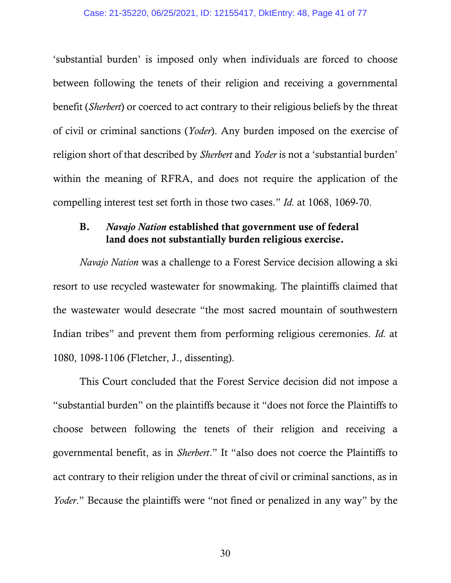#### Case: 21-35220, 06/25/2021, ID: 12155417, DktEntry: 48, Page 41 of 77

'substantial burden' is imposed only when individuals are forced to choose between following the tenets of their religion and receiving a governmental benefit (*Sherbert*) or coerced to act contrary to their religious beliefs by the threat of civil or criminal sanctions (*Yoder*). Any burden imposed on the exercise of religion short of that described by *Sherbert* and *Yoder* is not a 'substantial burden' within the meaning of RFRA, and does not require the application of the compelling interest test set forth in those two cases." *Id.* at 1068, 1069-70.

## B. *Navajo Nation* established that government use of federal land does not substantially burden religious exercise.

 *Navajo Nation* was a challenge to a Forest Service decision allowing a ski resort to use recycled wastewater for snowmaking. The plaintiffs claimed that the wastewater would desecrate "the most sacred mountain of southwestern Indian tribes" and prevent them from performing religious ceremonies. *Id.* at 1080, 1098-1106 (Fletcher, J., dissenting).

 This Court concluded that the Forest Service decision did not impose a "substantial burden" on the plaintiffs because it "does not force the Plaintiffs to choose between following the tenets of their religion and receiving a governmental benefit, as in *Sherbert*." It "also does not coerce the Plaintiffs to act contrary to their religion under the threat of civil or criminal sanctions, as in *Yoder*." Because the plaintiffs were "not fined or penalized in any way" by the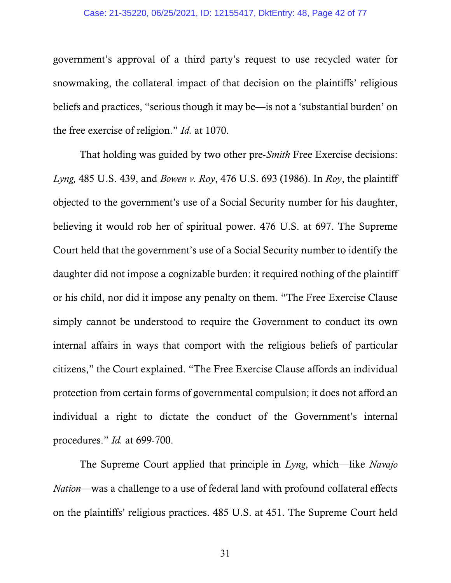#### Case: 21-35220, 06/25/2021, ID: 12155417, DktEntry: 48, Page 42 of 77

government's approval of a third party's request to use recycled water for snowmaking, the collateral impact of that decision on the plaintiffs' religious beliefs and practices, "serious though it may be—is not a 'substantial burden' on the free exercise of religion." *Id.* at 1070.

 That holding was guided by two other pre-*Smith* Free Exercise decisions: *Lyng,* 485 U.S. 439, and *Bowen v. Roy*, 476 U.S. 693 (1986). In *Roy*, the plaintiff objected to the government's use of a Social Security number for his daughter, believing it would rob her of spiritual power. 476 U.S. at 697. The Supreme Court held that the government's use of a Social Security number to identify the daughter did not impose a cognizable burden: it required nothing of the plaintiff or his child, nor did it impose any penalty on them. "The Free Exercise Clause simply cannot be understood to require the Government to conduct its own internal affairs in ways that comport with the religious beliefs of particular citizens," the Court explained. "The Free Exercise Clause affords an individual protection from certain forms of governmental compulsion; it does not afford an individual a right to dictate the conduct of the Government's internal procedures." *Id.* at 699-700.

 The Supreme Court applied that principle in *Lyng*, which—like *Navajo Nation*—was a challenge to a use of federal land with profound collateral effects on the plaintiffs' religious practices. 485 U.S. at 451. The Supreme Court held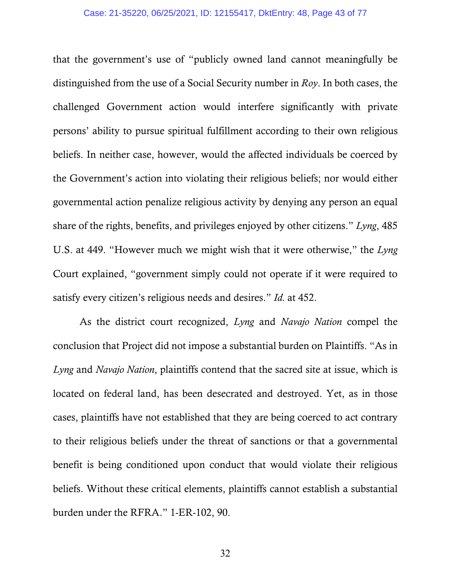that the government's use of "publicly owned land cannot meaningfully be distinguished from the use of a Social Security number in *Roy*. In both cases, the challenged Government action would interfere significantly with private persons' ability to pursue spiritual fulfillment according to their own religious beliefs. In neither case, however, would the affected individuals be coerced by the Government's action into violating their religious beliefs; nor would either governmental action penalize religious activity by denying any person an equal share of the rights, benefits, and privileges enjoyed by other citizens." *Lyng*, 485 U.S. at 449. "However much we might wish that it were otherwise," the *Lyng* Court explained, "government simply could not operate if it were required to satisfy every citizen's religious needs and desires." *Id.* at 452.

 As the district court recognized, *Lyng* and *Navajo Nation* compel the conclusion that Project did not impose a substantial burden on Plaintiffs. "As in *Lyng* and *Navajo Nation*, plaintiffs contend that the sacred site at issue, which is located on federal land, has been desecrated and destroyed. Yet, as in those cases, plaintiffs have not established that they are being coerced to act contrary to their religious beliefs under the threat of sanctions or that a governmental benefit is being conditioned upon conduct that would violate their religious beliefs. Without these critical elements, plaintiffs cannot establish a substantial burden under the RFRA." 1-ER-102, 90.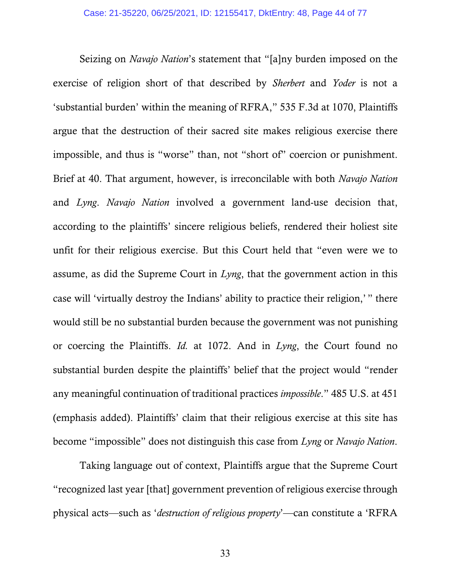Seizing on *Navajo Nation*'s statement that "[a]ny burden imposed on the exercise of religion short of that described by *Sherbert* and *Yoder* is not a 'substantial burden' within the meaning of RFRA," 535 F.3d at 1070, Plaintiffs argue that the destruction of their sacred site makes religious exercise there impossible, and thus is "worse" than, not "short of" coercion or punishment. Brief at 40. That argument, however, is irreconcilable with both *Navajo Nation* and *Lyng*. *Navajo Nation* involved a government land-use decision that, according to the plaintiffs' sincere religious beliefs, rendered their holiest site unfit for their religious exercise. But this Court held that "even were we to assume, as did the Supreme Court in *Lyng*, that the government action in this case will 'virtually destroy the Indians' ability to practice their religion,'  " there would still be no substantial burden because the government was not punishing or coercing the Plaintiffs. *Id.* at 1072. And in *Lyng*, the Court found no substantial burden despite the plaintiffs' belief that the project would "render any meaningful continuation of traditional practices *impossible*." 485 U.S. at 451 (emphasis added). Plaintiffs' claim that their religious exercise at this site has become "impossible" does not distinguish this case from *Lyng* or *Navajo Nation*.

 Taking language out of context, Plaintiffs argue that the Supreme Court "recognized last year [that] government prevention of religious exercise through physical acts—such as '*destruction of religious property*'—can constitute a 'RFRA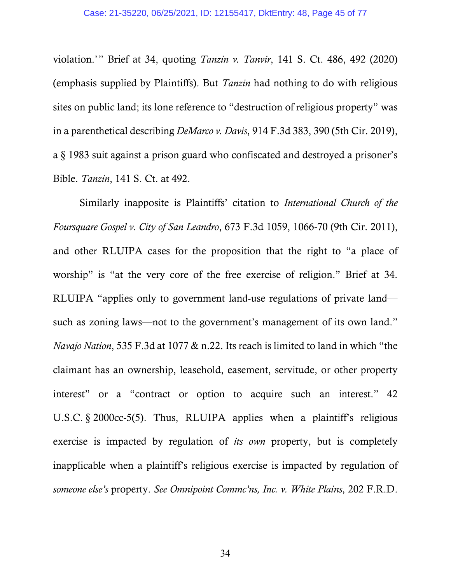violation.'" Brief at 34, quoting *Tanzin v. Tanvir*, 141 S. Ct. 486, 492 (2020) (emphasis supplied by Plaintiffs). But *Tanzin* had nothing to do with religious sites on public land; its lone reference to "destruction of religious property" was in a parenthetical describing *DeMarco v. Davis*, 914 F.3d 383, 390 (5th Cir. 2019), a §-1983 suit against a prison guard who confiscated and destroyed a prisoner's Bible. *Tanzin*, 141 S. Ct. at 492.

 Similarly inapposite is Plaintiffs' citation to *International Church of the Foursquare Gospel v. City of San Leandro*, 673 F.3d 1059, 1066-70 (9th Cir. 2011), and other RLUIPA cases for the proposition that the right to "a place of worship" is "at the very core of the free exercise of religion." Brief at 34. RLUIPA "applies only to government land-use regulations of private land such as zoning laws—not to the government's management of its own land." *Navajo Nation*, 535 F.3d at 1077 & n.22. Its reach is limited to land in which "the claimant has an ownership, leasehold, easement, servitude, or other property interest" or a "contract or option to acquire such an interest." 42 U.S.C. § 2000cc-5(5). Thus, RLUIPA applies when a plaintiff's religious exercise is impacted by regulation of *its own* property, but is completely inapplicable when a plaintiff's religious exercise is impacted by regulation of *someone else's* property. *See Omnipoint Commc'ns, Inc. v. White Plains*, 202 F.R.D.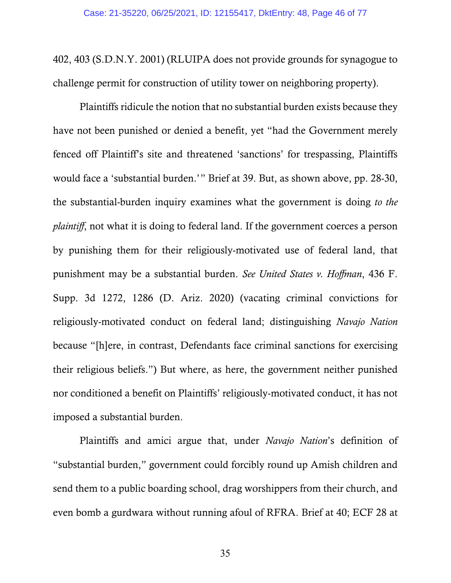402, 403 (S.D.N.Y. 2001) (RLUIPA does not provide grounds for synagogue to challenge permit for construction of utility tower on neighboring property).

 Plaintiffs ridicule the notion that no substantial burden exists because they have not been punished or denied a benefit, yet "had the Government merely fenced off Plaintiff's site and threatened 'sanctions' for trespassing, Plaintiffs would face a 'substantial burden.'" Brief at 39. But, as shown above, pp. 28-30, the substantial-burden inquiry examines what the government is doing *to the plaintiff*, not what it is doing to federal land. If the government coerces a person by punishing them for their religiously-motivated use of federal land, that punishment may be a substantial burden. *See United States v. Hoffman*, 436 F. Supp. 3d 1272, 1286 (D. Ariz. 2020) (vacating criminal convictions for religiously-motivated conduct on federal land; distinguishing *Navajo Nation* because "[h]ere, in contrast, Defendants face criminal sanctions for exercising their religious beliefs.") But where, as here, the government neither punished nor conditioned a benefit on Plaintiffs' religiously-motivated conduct, it has not imposed a substantial burden.

 Plaintiffs and amici argue that, under *Navajo Nation*'s definition of "substantial burden," government could forcibly round up Amish children and send them to a public boarding school, drag worshippers from their church, and even bomb a gurdwara without running afoul of RFRA. Brief at 40; ECF 28 at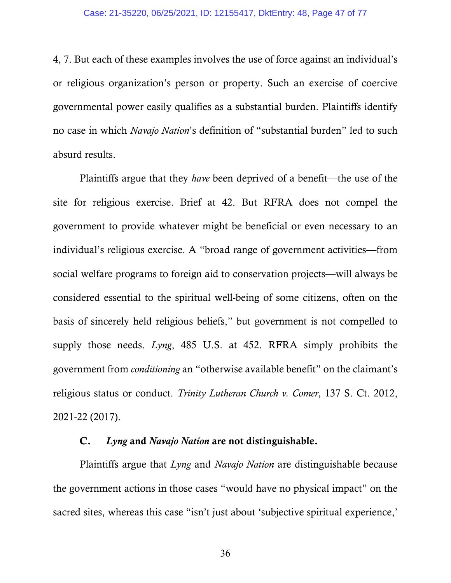4, 7. But each of these examples involves the use of force against an individual's or religious organization's person or property. Such an exercise of coercive governmental power easily qualifies as a substantial burden. Plaintiffs identify no case in which *Navajo Nation*'s definition of "substantial burden" led to such absurd results.

 Plaintiffs argue that they *have* been deprived of a benefit—the use of the site for religious exercise. Brief at 42. But RFRA does not compel the government to provide whatever might be beneficial or even necessary to an individual's religious exercise. A "broad range of government activities—from social welfare programs to foreign aid to conservation projects—will always be considered essential to the spiritual well-being of some citizens, often on the basis of sincerely held religious beliefs," but government is not compelled to supply those needs. *Lyng*, 485 U.S. at 452. RFRA simply prohibits the government from *conditioning* an "otherwise available benefit" on the claimant's religious status or conduct. *Trinity Lutheran Church v. Comer*, 137 S. Ct. 2012, 2021-22 (2017).

### C. *Lyng* and *Navajo Nation* are not distinguishable.

 Plaintiffs argue that *Lyng* and *Navajo Nation* are distinguishable because the government actions in those cases "would have no physical impact" on the sacred sites, whereas this case "isn't just about 'subjective spiritual experience,'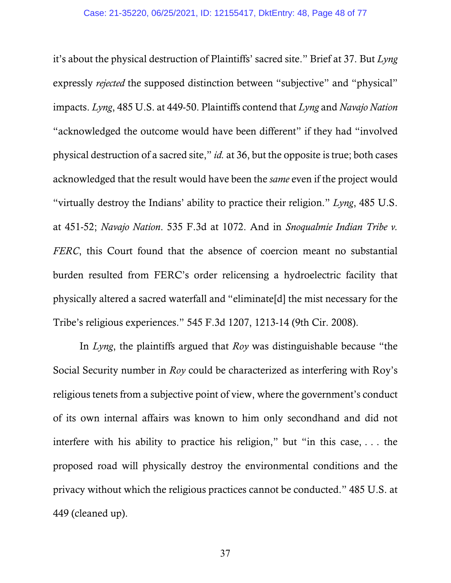it's about the physical destruction of Plaintiffs' sacred site." Brief at 37. But *Lyng* expressly *rejected* the supposed distinction between "subjective" and "physical" impacts. *Lyng*, 485 U.S. at 449-50. Plaintiffs contend that *Lyng* and *Navajo Nation*  "acknowledged the outcome would have been different" if they had "involved physical destruction of a sacred site," *id.* at 36, but the opposite is true; both cases acknowledged that the result would have been the *same* even if the project would "virtually destroy the Indians' ability to practice their religion." *Lyng*, 485 U.S. at 451-52; *Navajo Nation*. 535 F.3d at 1072. And in *Snoqualmie Indian Tribe v. FERC*, this Court found that the absence of coercion meant no substantial burden resulted from FERC's order relicensing a hydroelectric facility that physically altered a sacred waterfall and "eliminate[d] the mist necessary for the Tribe's religious experiences." 545 F.3d 1207, 1213-14 (9th Cir. 2008).

 In *Lyng*, the plaintiffs argued that *Roy* was distinguishable because "the Social Security number in *Roy* could be characterized as interfering with Roy's religious tenets from a subjective point of view, where the government's conduct of its own internal affairs was known to him only secondhand and did not interfere with his ability to practice his religion," but "in this case,  $\dots$  the proposed road will physically destroy the environmental conditions and the privacy without which the religious practices cannot be conducted." 485 U.S. at 449 (cleaned up).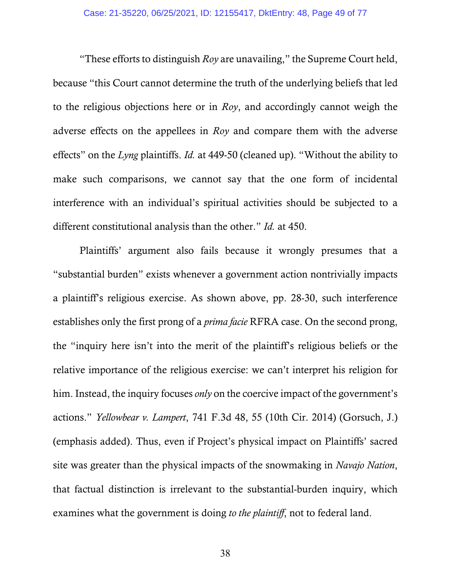"These efforts to distinguish *Roy* are unavailing," the Supreme Court held, because "this Court cannot determine the truth of the underlying beliefs that led to the religious objections here or in *Roy*, and accordingly cannot weigh the adverse effects on the appellees in *Roy* and compare them with the adverse effects" on the *Lyng* plaintiffs. *Id.* at 449-50 (cleaned up). "Without the ability to make such comparisons, we cannot say that the one form of incidental interference with an individual's spiritual activities should be subjected to a different constitutional analysis than the other." *Id.* at 450.

 Plaintiffs' argument also fails because it wrongly presumes that a "substantial burden" exists whenever a government action nontrivially impacts a plaintiff's religious exercise. As shown above, pp. 28-30, such interference establishes only the first prong of a *prima facie* RFRA case. On the second prong, the "inquiry here isn't into the merit of the plaintiff's religious beliefs or the relative importance of the religious exercise: we can't interpret his religion for him. Instead, the inquiry focuses *only* on the coercive impact of the government's actions." *Yellowbear v. Lampert*, 741 F.3d 48, 55 (10th Cir. 2014) (Gorsuch, J.) (emphasis added). Thus, even if Project's physical impact on Plaintiffs' sacred site was greater than the physical impacts of the snowmaking in *Navajo Nation*, that factual distinction is irrelevant to the substantial-burden inquiry, which examines what the government is doing *to the plaintiff*, not to federal land.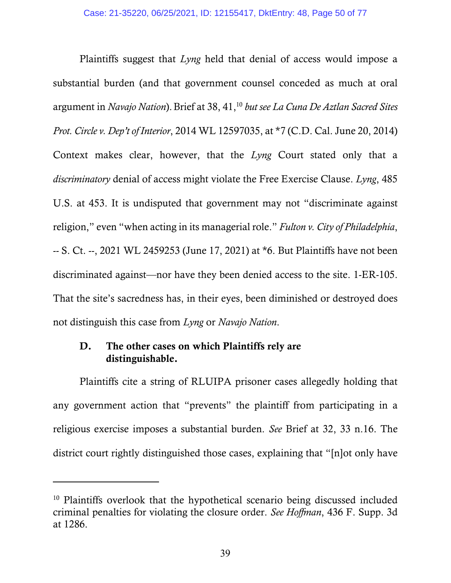Plaintiffs suggest that *Lyng* held that denial of access would impose a substantial burden (and that government counsel conceded as much at oral argument in *Navajo Nation*).Brief at 38, 41,10 *but see La Cuna De Aztlan Sacred Sites Prot. Circle v. Dep't of Interior*, 2014 WL 12597035, at \*7 (C.D. Cal. June 20, 2014) Context makes clear, however, that the *Lyng* Court stated only that a *discriminatory* denial of access might violate the Free Exercise Clause. *Lyng*, 485 U.S. at 453. It is undisputed that government may not "discriminate against religion," even "when acting in its managerial role." *Fulton v. City of Philadelphia*, -- S. Ct. --, 2021 WL 2459253 (June 17, 2021) at \*6. But Plaintiffs have not been discriminated against—nor have they been denied access to the site. 1-ER-105. That the site's sacredness has, in their eyes, been diminished or destroyed does not distinguish this case from *Lyng* or *Navajo Nation*.

# D. The other cases on which Plaintiffs rely are distinguishable.

-

 Plaintiffs cite a string of RLUIPA prisoner cases allegedly holding that any government action that "prevents" the plaintiff from participating in a religious exercise imposes a substantial burden. *See* Brief at 32, 33 n.16. The district court rightly distinguished those cases, explaining that "[n]ot only have

<sup>&</sup>lt;sup>10</sup> Plaintiffs overlook that the hypothetical scenario being discussed included criminal penalties for violating the closure order. *See Hoffman*, 436 F. Supp. 3d at 1286.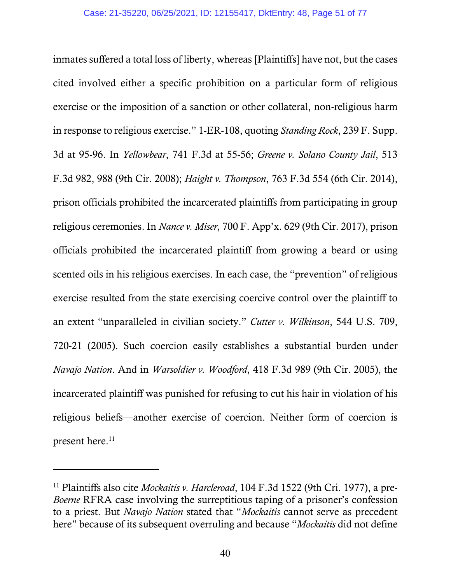inmates suffered a total loss of liberty, whereas [Plaintiffs] have not, but the cases cited involved either a specific prohibition on a particular form of religious exercise or the imposition of a sanction or other collateral, non-religious harm in response to religious exercise." 1-ER-108, quoting *Standing Rock*, 239 F. Supp. 3d at 95-96. In *Yellowbear*, 741 F.3d at 55-56; *Greene v. Solano County Jail*, 513 F.3d 982, 988 (9th Cir. 2008); *Haight v. Thompson*, 763 F.3d 554 (6th Cir. 2014), prison officials prohibited the incarcerated plaintiffs from participating in group religious ceremonies. In *Nance v. Miser*, 700 F. App'x. 629 (9th Cir. 2017), prison officials prohibited the incarcerated plaintiff from growing a beard or using scented oils in his religious exercises. In each case, the "prevention" of religious exercise resulted from the state exercising coercive control over the plaintiff to an extent "unparalleled in civilian society." *Cutter v. Wilkinson*, 544 U.S. 709, 720-21 (2005). Such coercion easily establishes a substantial burden under *Navajo Nation*. And in *Warsoldier v. Woodford*, 418 F.3d 989 (9th Cir. 2005), the incarcerated plaintiff was punished for refusing to cut his hair in violation of his religious beliefs—another exercise of coercion. Neither form of coercion is present here.<sup>11</sup>

<sup>11</sup> Plaintiffs also cite *Mockaitis v. Harcleroad*, 104 F.3d 1522 (9th Cri. 1977), a pre-*Boerne* RFRA case involving the surreptitious taping of a prisoner's confession to a priest. But *Navajo Nation* stated that "*Mockaitis* cannot serve as precedent here" because of its subsequent overruling and because "*Mockaitis* did not define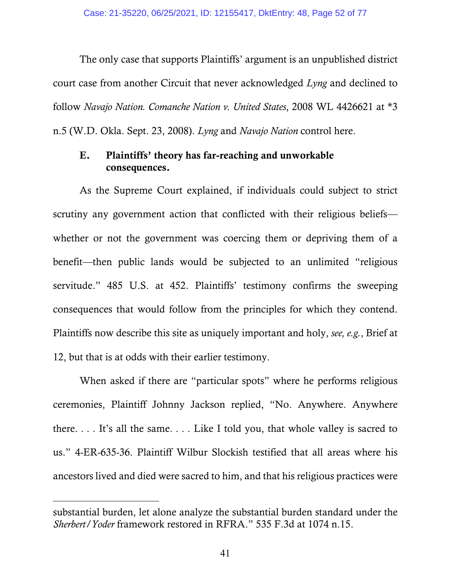The only case that supports Plaintiffs' argument is an unpublished district court case from another Circuit that never acknowledged *Lyng* and declined to follow *Navajo Nation. Comanche Nation v. United States*, 2008 WL 4426621 at \*3 n.5 (W.D. Okla. Sept. 23, 2008). *Lyng* and *Navajo Nation* control here.

# E. Plaintiffs' theory has far-reaching and unworkable consequences.

 As the Supreme Court explained, if individuals could subject to strict scrutiny any government action that conflicted with their religious beliefs whether or not the government was coercing them or depriving them of a benefit—then public lands would be subjected to an unlimited "religious servitude." 485 U.S. at 452. Plaintiffs' testimony confirms the sweeping consequences that would follow from the principles for which they contend. Plaintiffs now describe this site as uniquely important and holy, *see, e.g.*, Brief at 12, but that is at odds with their earlier testimony.

 When asked if there are "particular spots" where he performs religious ceremonies, Plaintiff Johnny Jackson replied, "No. Anywhere. Anywhere there.... It's all the same.... Like I told you, that whole valley is sacred to us." 4-ER-635-36. Plaintiff Wilbur Slockish testified that all areas where his ancestors lived and died were sacred to him, and that his religious practices were

substantial burden, let alone analyze the substantial burden standard under the *Sherbert/Yoder* framework restored in RFRA." 535 F.3d at 1074 n.15.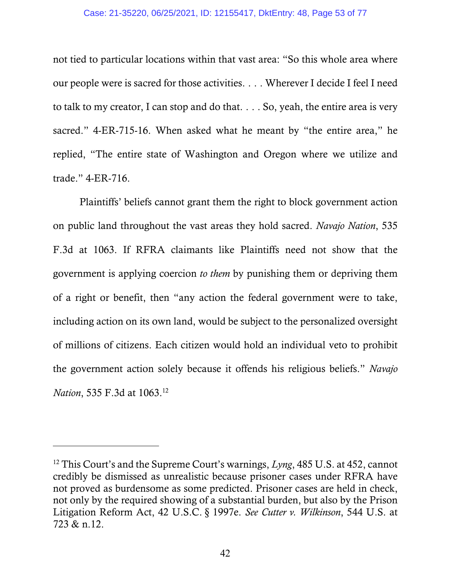### Case: 21-35220, 06/25/2021, ID: 12155417, DktEntry: 48, Page 53 of 77

not tied to particular locations within that vast area: "So this whole area where our people were is sacred for those activities.... Wherever I decide I feel I need to talk to my creator, I can stop and do that. $\ldots$ . So, yeah, the entire area is very sacred." 4-ER-715-16. When asked what he meant by "the entire area," he replied, "The entire state of Washington and Oregon where we utilize and trade." 4-ER-716.

 Plaintiffs' beliefs cannot grant them the right to block government action on public land throughout the vast areas they hold sacred. *Navajo Nation*, 535 F.3d at 1063. If RFRA claimants like Plaintiffs need not show that the government is applying coercion *to them* by punishing them or depriving them of a right or benefit, then "any action the federal government were to take, including action on its own land, would be subject to the personalized oversight of millions of citizens. Each citizen would hold an individual veto to prohibit the government action solely because it offends his religious beliefs." *Navajo Nation*, 535 F.3d at 1063.<sup>12</sup>

<sup>12</sup> This Court's and the Supreme Court's warnings, *Lyng*, 485 U.S. at 452, cannot credibly be dismissed as unrealistic because prisoner cases under RFRA have not proved as burdensome as some predicted. Prisoner cases are held in check, not only by the required showing of a substantial burden, but also by the Prison Litigation Reform Act, 42 U.S.C. § 1997e. *See Cutter v. Wilkinson*, 544 U.S. at 723 & n.12.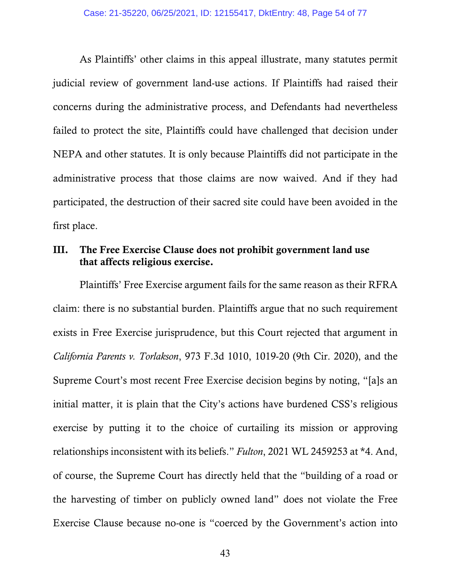As Plaintiffs' other claims in this appeal illustrate, many statutes permit judicial review of government land-use actions. If Plaintiffs had raised their concerns during the administrative process, and Defendants had nevertheless failed to protect the site, Plaintiffs could have challenged that decision under NEPA and other statutes. It is only because Plaintiffs did not participate in the administrative process that those claims are now waived. And if they had participated, the destruction of their sacred site could have been avoided in the first place.

# III. The Free Exercise Clause does not prohibit government land use that affects religious exercise.

 Plaintiffs' Free Exercise argument fails for the same reason as their RFRA claim: there is no substantial burden. Plaintiffs argue that no such requirement exists in Free Exercise jurisprudence, but this Court rejected that argument in *California Parents v. Torlakson*, 973 F.3d 1010, 1019-20 (9th Cir. 2020), and the Supreme Court's most recent Free Exercise decision begins by noting, "[a]s an initial matter, it is plain that the City's actions have burdened CSS's religious exercise by putting it to the choice of curtailing its mission or approving relationships inconsistent with its beliefs." *Fulton*, 2021 WL 2459253 at \*4. And, of course, the Supreme Court has directly held that the "building of a road or the harvesting of timber on publicly owned land" does not violate the Free Exercise Clause because no-one is "coerced by the Government's action into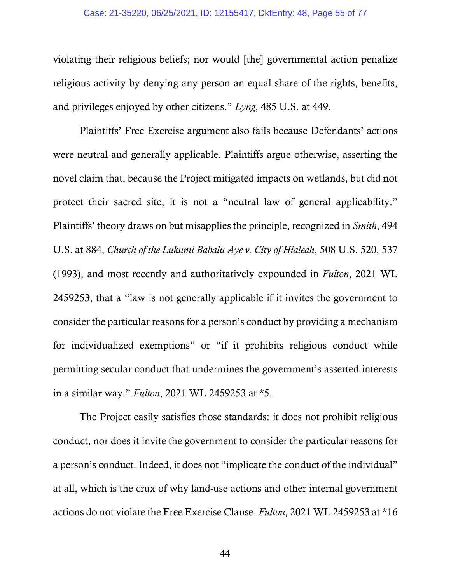#### Case: 21-35220, 06/25/2021, ID: 12155417, DktEntry: 48, Page 55 of 77

violating their religious beliefs; nor would [the] governmental action penalize religious activity by denying any person an equal share of the rights, benefits, and privileges enjoyed by other citizens." *Lyng*, 485 U.S. at 449.

 Plaintiffs' Free Exercise argument also fails because Defendants' actions were neutral and generally applicable. Plaintiffs argue otherwise, asserting the novel claim that, because the Project mitigated impacts on wetlands, but did not protect their sacred site, it is not a "neutral law of general applicability." Plaintiffs' theory draws on but misapplies the principle, recognized in *Smith*, 494 U.S. at 884, *Church of the Lukumi Babalu Aye v. City of Hialeah*, 508 U.S. 520, 537 (1993), and most recently and authoritatively expounded in *Fulton*, 2021 WL 2459253, that a "law is not generally applicable if it invites the government to consider the particular reasons for a person's conduct by providing a mechanism for individualized exemptions" or "if it prohibits religious conduct while permitting secular conduct that undermines the government's asserted interests in a similar way." *Fulton*, 2021 WL 2459253 at \*5.

 The Project easily satisfies those standards: it does not prohibit religious conduct, nor does it invite the government to consider the particular reasons for a person's conduct. Indeed, it does not "implicate the conduct of the individual" at all, which is the crux of why land-use actions and other internal government actions do not violate the Free Exercise Clause. *Fulton*, 2021 WL 2459253 at \*16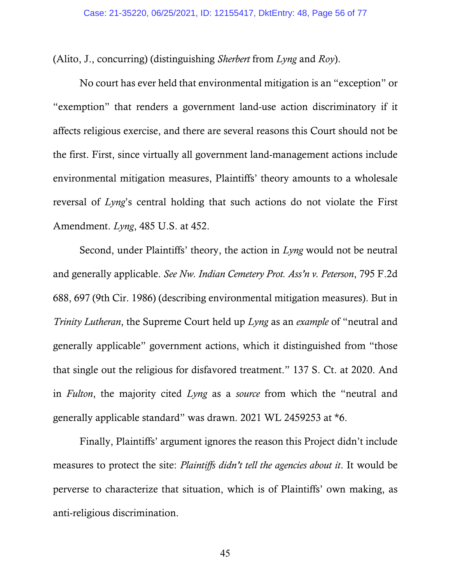(Alito, J., concurring) (distinguishing *Sherbert* from *Lyng* and *Roy*).

 No court has ever held that environmental mitigation is an "exception" or "exemption" that renders a government land-use action discriminatory if it affects religious exercise, and there are several reasons this Court should not be the first. First, since virtually all government land-management actions include environmental mitigation measures, Plaintiffs' theory amounts to a wholesale reversal of *Lyng*'s central holding that such actions do not violate the First Amendment. *Lyng*, 485 U.S. at 452.

Second, under Plaintiffs' theory, the action in *Lyng* would not be neutral and generally applicable. *See Nw. Indian Cemetery Prot. Ass'n v. Peterson*, 795 F.2d 688, 697 (9th Cir. 1986) (describing environmental mitigation measures). But in *Trinity Lutheran*, the Supreme Court held up *Lyng* as an *example* of "neutral and generally applicable" government actions, which it distinguished from "those that single out the religious for disfavored treatment." 137 S. Ct. at 2020. And in *Fulton*, the majority cited *Lyng* as a *source* from which the "neutral and generally applicable standard" was drawn. 2021 WL 2459253 at \*6.

 Finally, Plaintiffs' argument ignores the reason this Project didn't include measures to protect the site: *Plaintiffs didn't tell the agencies about it*. It would be perverse to characterize that situation, which is of Plaintiffs' own making, as anti-religious discrimination.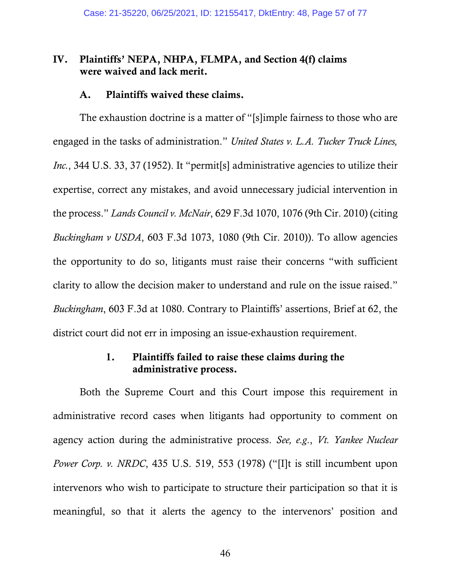## IV. Plaintiffs' NEPA, NHPA, FLMPA, and Section 4(f) claims were waived and lack merit.

### A. Plaintiffs waived these claims.

The exhaustion doctrine is a matter of "[s]imple fairness to those who are engaged in the tasks of administration." *United States v. L.A. Tucker Truck Lines, Inc.*, 344 U.S. 33, 37 (1952). It "permit[s] administrative agencies to utilize their expertise, correct any mistakes, and avoid unnecessary judicial intervention in the process." *Lands Council v. McNair*, 629 F.3d 1070, 1076 (9th Cir. 2010) (citing *Buckingham v USDA*, 603 F.3d 1073, 1080 (9th Cir. 2010)). To allow agencies the opportunity to do so, litigants must raise their concerns "with sufficient clarity to allow the decision maker to understand and rule on the issue raised." *Buckingham*, 603 F.3d at 1080. Contrary to Plaintiffs' assertions, Brief at 62, the district court did not err in imposing an issue-exhaustion requirement.

# 1. Plaintiffs failed to raise these claims during the administrative process.

Both the Supreme Court and this Court impose this requirement in administrative record cases when litigants had opportunity to comment on agency action during the administrative process. *See, e.g*., *Vt. Yankee Nuclear Power Corp. v. NRDC*, 435 U.S. 519, 553 (1978) ("[I]t is still incumbent upon intervenors who wish to participate to structure their participation so that it is meaningful, so that it alerts the agency to the intervenors' position and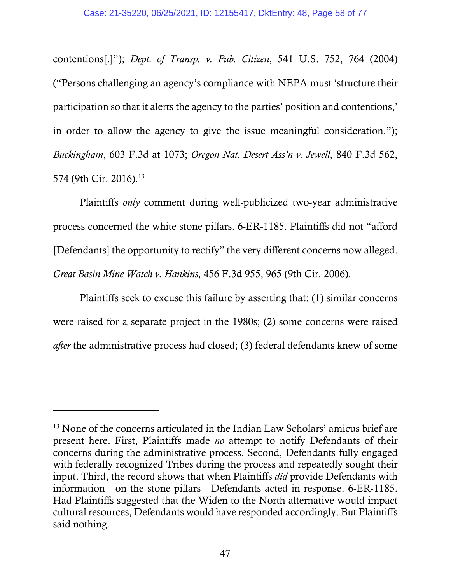contentions[.]"); *Dept. of Transp. v. Pub. Citizen*, 541 U.S. 752, 764 (2004) ("Persons challenging an agency's compliance with NEPA must 'structure their participation so that it alerts the agency to the parties' position and contentions,' in order to allow the agency to give the issue meaningful consideration."); *Buckingham*, 603 F.3d at 1073; *Oregon Nat. Desert Ass'n v. Jewell*, 840 F.3d 562, 574 (9th Cir. 2016).<sup>13</sup>

Plaintiffs *only* comment during well-publicized two-year administrative process concerned the white stone pillars. 6-ER-1185. Plaintiffs did not "afford [Defendants] the opportunity to rectify" the very different concerns now alleged. *Great Basin Mine Watch v. Hankins*, 456 F.3d 955, 965 (9th Cir. 2006).

Plaintiffs seek to excuse this failure by asserting that: (1) similar concerns were raised for a separate project in the 1980s; (2) some concerns were raised *after* the administrative process had closed; (3) federal defendants knew of some

 $\overline{a}$ 

<sup>&</sup>lt;sup>13</sup> None of the concerns articulated in the Indian Law Scholars' amicus brief are present here. First, Plaintiffs made *no* attempt to notify Defendants of their concerns during the administrative process. Second, Defendants fully engaged with federally recognized Tribes during the process and repeatedly sought their input. Third, the record shows that when Plaintiffs *did* provide Defendants with information—on the stone pillars—Defendants acted in response. 6-ER-1185. Had Plaintiffs suggested that the Widen to the North alternative would impact cultural resources, Defendants would have responded accordingly. But Plaintiffs said nothing.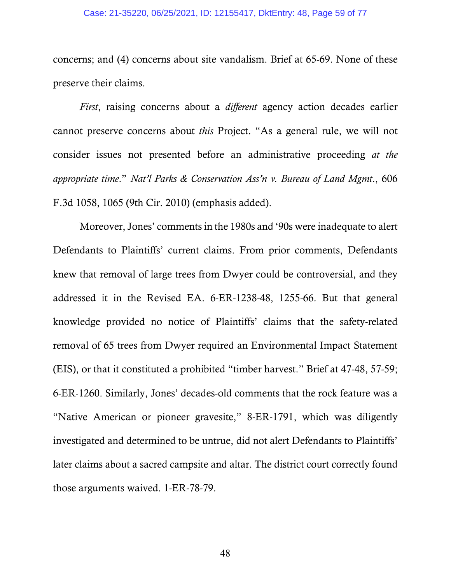#### Case: 21-35220, 06/25/2021, ID: 12155417, DktEntry: 48, Page 59 of 77

concerns; and (4) concerns about site vandalism. Brief at 65-69. None of these preserve their claims.

*First*, raising concerns about a *different* agency action decades earlier cannot preserve concerns about *this* Project. "As a general rule, we will not consider issues not presented before an administrative proceeding *at the appropriate time*." *Nat'l Parks & Conservation Ass'n v. Bureau of Land Mgmt*., 606 F.3d 1058, 1065 (9th Cir. 2010) (emphasis added).

Moreover, Jones' comments in the 1980s and '90s were inadequate to alert Defendants to Plaintiffs' current claims. From prior comments, Defendants knew that removal of large trees from Dwyer could be controversial, and they addressed it in the Revised EA. 6-ER-1238-48, 1255-66. But that general knowledge provided no notice of Plaintiffs' claims that the safety-related removal of 65 trees from Dwyer required an Environmental Impact Statement (EIS), or that it constituted a prohibited "timber harvest." Brief at 47-48, 57-59; 6-ER-1260. Similarly, Jones' decades-old comments that the rock feature was a "Native American or pioneer gravesite," 8-ER-1791, which was diligently investigated and determined to be untrue, did not alert Defendants to Plaintiffs' later claims about a sacred campsite and altar. The district court correctly found those arguments waived. 1-ER-78-79.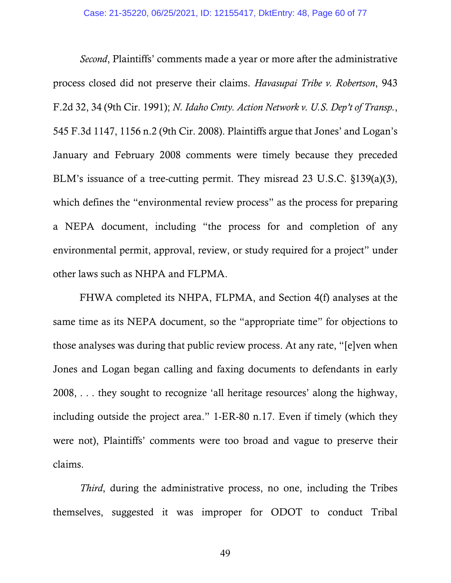*Second*, Plaintiffs' comments made a year or more after the administrative process closed did not preserve their claims. *Havasupai Tribe v. Robertson*, 943 F.2d 32, 34 (9th Cir. 1991); *N. Idaho Cmty. Action Network v. U.S. Dep't of Transp.*, 545 F.3d 1147, 1156 n.2 (9th Cir. 2008). Plaintiffs argue that Jones' and Logan's January and February 2008 comments were timely because they preceded BLM's issuance of a tree-cutting permit. They misread 23 U.S.C. §139(a)(3), which defines the "environmental review process" as the process for preparing a NEPA document, including "the process for and completion of any environmental permit, approval, review, or study required for a project" under other laws such as NHPA and FLPMA.

FHWA completed its NHPA, FLPMA, and Section 4(f) analyses at the same time as its NEPA document, so the "appropriate time" for objections to those analyses was during that public review process. At any rate, "[e]ven when Jones and Logan began calling and faxing documents to defendants in early  $2008$ ,.... they sought to recognize 'all heritage resources' along the highway, including outside the project area." 1-ER-80 n.17. Even if timely (which they were not), Plaintiffs' comments were too broad and vague to preserve their claims.

*Third*, during the administrative process, no one, including the Tribes themselves, suggested it was improper for ODOT to conduct Tribal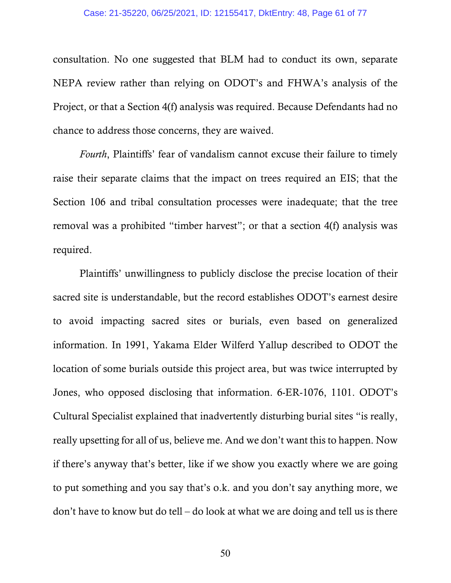#### Case: 21-35220, 06/25/2021, ID: 12155417, DktEntry: 48, Page 61 of 77

consultation. No one suggested that BLM had to conduct its own, separate NEPA review rather than relying on ODOT's and FHWA's analysis of the Project, or that a Section 4(f) analysis was required. Because Defendants had no chance to address those concerns, they are waived.

*Fourth*, Plaintiffs' fear of vandalism cannot excuse their failure to timely raise their separate claims that the impact on trees required an EIS; that the Section 106 and tribal consultation processes were inadequate; that the tree removal was a prohibited "timber harvest"; or that a section 4(f) analysis was required.

Plaintiffs' unwillingness to publicly disclose the precise location of their sacred site is understandable, but the record establishes ODOT's earnest desire to avoid impacting sacred sites or burials, even based on generalized information. In 1991, Yakama Elder Wilferd Yallup described to ODOT the location of some burials outside this project area, but was twice interrupted by Jones, who opposed disclosing that information. 6-ER-1076, 1101. ODOT's Cultural Specialist explained that inadvertently disturbing burial sites "is really, really upsetting for all of us, believe me. And we don't want this to happen. Now if there's anyway that's better, like if we show you exactly where we are going to put something and you say that's o.k. and you don't say anything more, we don't have to know but do tell – do look at what we are doing and tell us is there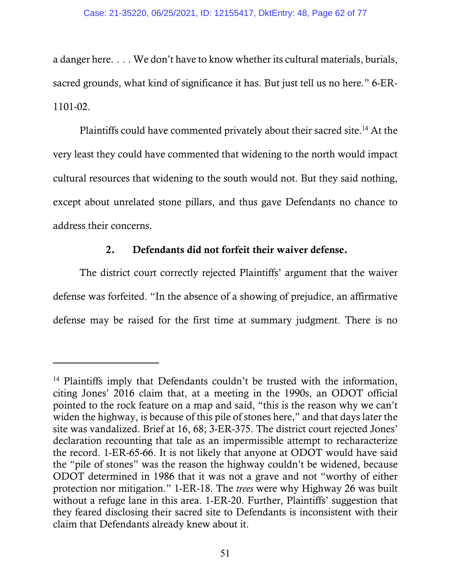a danger here.... We don't have to know whether its cultural materials, burials, sacred grounds, what kind of significance it has. But just tell us no here." 6-ER-1101-02.

Plaintiffs could have commented privately about their sacred site.<sup>14</sup> At the very least they could have commented that widening to the north would impact cultural resources that widening to the south would not. But they said nothing, except about unrelated stone pillars, and thus gave Defendants no chance to address their concerns.

## 2. Defendants did not forfeit their waiver defense.

The district court correctly rejected Plaintiffs' argument that the waiver defense was forfeited. "In the absence of a showing of prejudice, an affirmative defense may be raised for the first time at summary judgment. There is no

l

<sup>&</sup>lt;sup>14</sup> Plaintiffs imply that Defendants couldn't be trusted with the information, citing Jones' 2016 claim that, at a meeting in the 1990s, an ODOT official pointed to the rock feature on a map and said, "this is the reason why we can't widen the highway, is because of this pile of stones here," and that days later the site was vandalized. Brief at 16, 68; 3-ER-375. The district court rejected Jones' declaration recounting that tale as an impermissible attempt to recharacterize the record. 1-ER-65-66. It is not likely that anyone at ODOT would have said the "pile of stones" was the reason the highway couldn't be widened, because ODOT determined in 1986 that it was not a grave and not "worthy of either protection nor mitigation." 1-ER-18. The *trees* were why Highway 26 was built without a refuge lane in this area. 1-ER-20. Further, Plaintiffs' suggestion that they feared disclosing their sacred site to Defendants is inconsistent with their claim that Defendants already knew about it.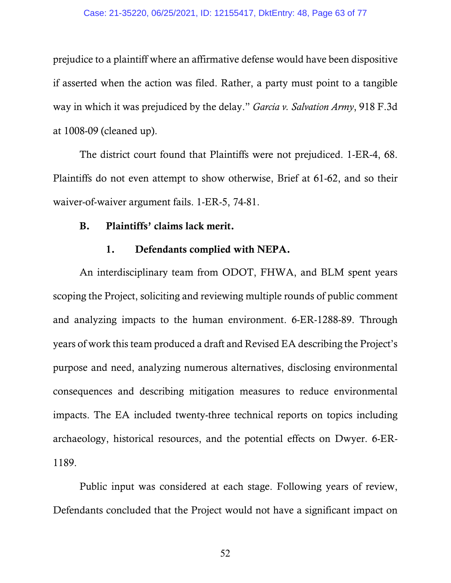#### Case: 21-35220, 06/25/2021, ID: 12155417, DktEntry: 48, Page 63 of 77

prejudice to a plaintiff where an affirmative defense would have been dispositive if asserted when the action was filed. Rather, a party must point to a tangible way in which it was prejudiced by the delay." *Garcia v. Salvation Army*, 918 F.3d at 1008-09 (cleaned up).

The district court found that Plaintiffs were not prejudiced. 1-ER-4, 68. Plaintiffs do not even attempt to show otherwise, Brief at 61-62, and so their waiver-of-waiver argument fails. 1-ER-5, 74-81.

### B. Plaintiffs' claims lack merit.

#### 1. Defendants complied with NEPA.

An interdisciplinary team from ODOT, FHWA, and BLM spent years scoping the Project, soliciting and reviewing multiple rounds of public comment and analyzing impacts to the human environment. 6-ER-1288-89. Through years of work this team produced a draft and Revised EA describing the Project's purpose and need, analyzing numerous alternatives, disclosing environmental consequences and describing mitigation measures to reduce environmental impacts. The EA included twenty-three technical reports on topics including archaeology, historical resources, and the potential effects on Dwyer. 6-ER-1189.

Public input was considered at each stage. Following years of review, Defendants concluded that the Project would not have a significant impact on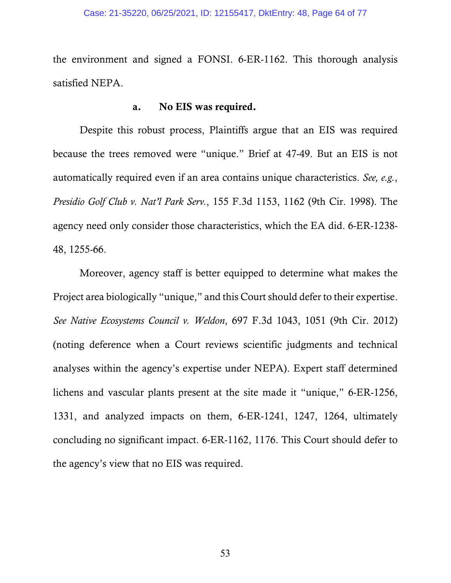the environment and signed a FONSI. 6-ER-1162. This thorough analysis satisfied NEPA.

### a. No EIS was required.

Despite this robust process, Plaintiffs argue that an EIS was required because the trees removed were "unique." Brief at 47-49. But an EIS is not automatically required even if an area contains unique characteristics. *See, e.g.*, *Presidio Golf Club v. Nat'l Park Serv.*, 155 F.3d 1153, 1162 (9th Cir. 1998). The agency need only consider those characteristics, which the EA did. 6-ER-1238- 48, 1255-66.

Moreover, agency staff is better equipped to determine what makes the Project area biologically "unique," and this Court should defer to their expertise. *See Native Ecosystems Council v. Weldon*, 697 F.3d 1043, 1051 (9th Cir. 2012) (noting deference when a Court reviews scientific judgments and technical analyses within the agency's expertise under NEPA). Expert staff determined lichens and vascular plants present at the site made it "unique," 6-ER-1256, 1331, and analyzed impacts on them, 6-ER-1241, 1247, 1264, ultimately concluding no significant impact. 6-ER-1162, 1176. This Court should defer to the agency's view that no EIS was required.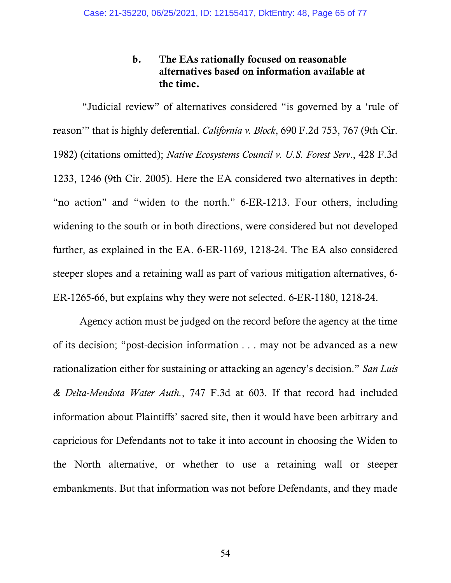# b. The EAs rationally focused on reasonable alternatives based on information available at the time.

 "Judicial review" of alternatives considered "is governed by a 'rule of reason'" that is highly deferential. *California v. Block*, 690 F.2d 753, 767 (9th Cir. 1982) (citations omitted); *Native Ecosystems Council v. U.S. Forest Serv*., 428 F.3d 1233, 1246 (9th Cir. 2005). Here the EA considered two alternatives in depth: "no action" and "widen to the north." 6-ER-1213. Four others, including widening to the south or in both directions, were considered but not developed further, as explained in the EA. 6-ER-1169, 1218-24. The EA also considered steeper slopes and a retaining wall as part of various mitigation alternatives, 6- ER-1265-66, but explains why they were not selected. 6-ER-1180, 1218-24.

Agency action must be judged on the record before the agency at the time of its decision; "post-decision information . . . may not be advanced as a new rationalization either for sustaining or attacking an agency's decision." *San Luis & Delta-Mendota Water Auth.*, 747 F.3d at 603. If that record had included information about Plaintiffs' sacred site, then it would have been arbitrary and capricious for Defendants not to take it into account in choosing the Widen to the North alternative, or whether to use a retaining wall or steeper embankments. But that information was not before Defendants, and they made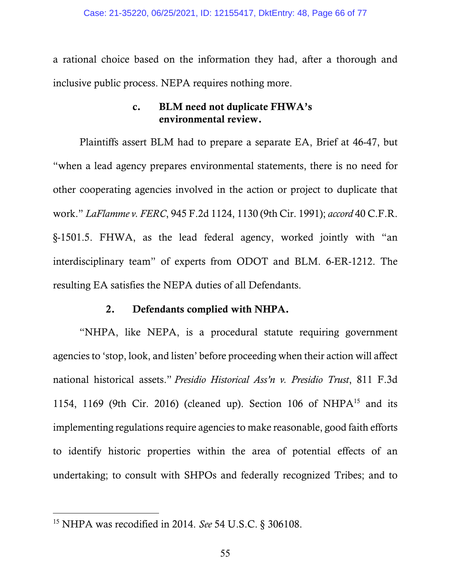a rational choice based on the information they had, after a thorough and inclusive public process. NEPA requires nothing more.

# c. BLM need not duplicate FHWA's environmental review.

Plaintiffs assert BLM had to prepare a separate EA, Brief at 46-47, but "when a lead agency prepares environmental statements, there is no need for other cooperating agencies involved in the action or project to duplicate that work." *LaFlamme v. FERC*, 945 F.2d 1124, 1130 (9th Cir. 1991); *accord* 40 C.F.R. §-1501.5. FHWA, as the lead federal agency, worked jointly with "an interdisciplinary team" of experts from ODOT and BLM. 6-ER-1212. The resulting EA satisfies the NEPA duties of all Defendants.

### 2. Defendants complied with NHPA.

"NHPA, like NEPA, is a procedural statute requiring government agencies to 'stop, look, and listen' before proceeding when their action will affect national historical assets." *Presidio Historical Ass'n v. Presidio Trust*, 811 F.3d 1154, 1169 (9th Cir. 2016) (cleaned up). Section 106 of NHP $A<sup>15</sup>$  and its implementing regulations require agencies to make reasonable, good faith efforts to identify historic properties within the area of potential effects of an undertaking; to consult with SHPOs and federally recognized Tribes; and to

 $\overline{a}$ 

<sup>15</sup> NHPA was recodified in 2014. *See* 54 U.S.C. §-306108.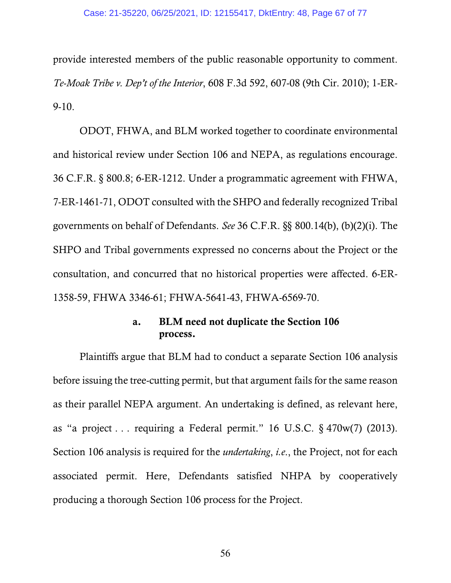#### Case: 21-35220, 06/25/2021, ID: 12155417, DktEntry: 48, Page 67 of 77

provide interested members of the public reasonable opportunity to comment. *Te-Moak Tribe v. Dep't of the Interior*, 608 F.3d 592, 607-08 (9th Cir. 2010); 1-ER-9-10.

ODOT, FHWA, and BLM worked together to coordinate environmental and historical review under Section 106 and NEPA, as regulations encourage. 36 C.F.R. §-800.8; 6-ER-1212. Under a programmatic agreement with FHWA, 7-ER-1461-71, ODOT consulted with the SHPO and federally recognized Tribal governments on behalf of Defendants. *See* 36 C.F.R. §§-800.14(b), (b)(2)(i). The SHPO and Tribal governments expressed no concerns about the Project or the consultation, and concurred that no historical properties were affected. 6-ER-1358-59, FHWA 3346-61; FHWA-5641-43, FHWA-6569-70.

# a. BLM need not duplicate the Section 106 process.

Plaintiffs argue that BLM had to conduct a separate Section 106 analysis before issuing the tree-cutting permit, but that argument fails for the same reason as their parallel NEPA argument. An undertaking is defined, as relevant here, as "a project... requiring a Federal permit." 16 U.S.C.  $\S$  470w(7) (2013). Section 106 analysis is required for the *undertaking*, *i.e*., the Project, not for each associated permit. Here, Defendants satisfied NHPA by cooperatively producing a thorough Section 106 process for the Project.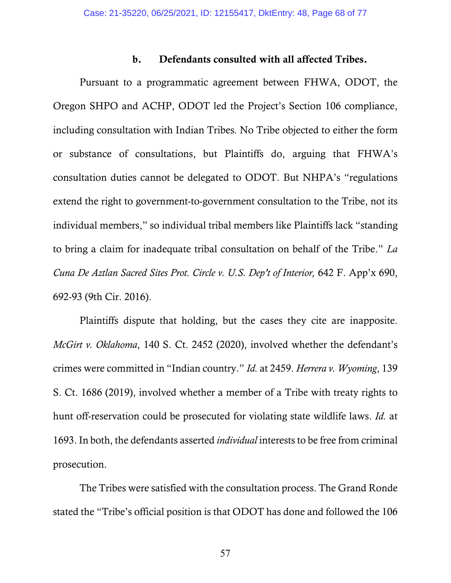### b. Defendants consulted with all affected Tribes.

Pursuant to a programmatic agreement between FHWA, ODOT, the Oregon SHPO and ACHP, ODOT led the Project's Section 106 compliance, including consultation with Indian Tribes. No Tribe objected to either the form or substance of consultations, but Plaintiffs do, arguing that FHWA's consultation duties cannot be delegated to ODOT. But NHPA's "regulations extend the right to government-to-government consultation to the Tribe, not its individual members," so individual tribal members like Plaintiffs lack "standing to bring a claim for inadequate tribal consultation on behalf of the Tribe." *La Cuna De Aztlan Sacred Sites Prot. Circle v. U.S. Dep't of Interior,* 642 F. App'x 690, 692-93 (9th Cir. 2016).

Plaintiffs dispute that holding, but the cases they cite are inapposite. *McGirt v. Oklahoma*, 140 S. Ct. 2452 (2020), involved whether the defendant's crimes were committed in "Indian country." *Id.* at 2459. *Herrera v. Wyoming*, 139 S. Ct. 1686 (2019), involved whether a member of a Tribe with treaty rights to hunt off-reservation could be prosecuted for violating state wildlife laws. *Id.* at 1693. In both, the defendants asserted *individual* interests to be free from criminal prosecution.

The Tribes were satisfied with the consultation process. The Grand Ronde stated the "Tribe's official position is that ODOT has done and followed the 106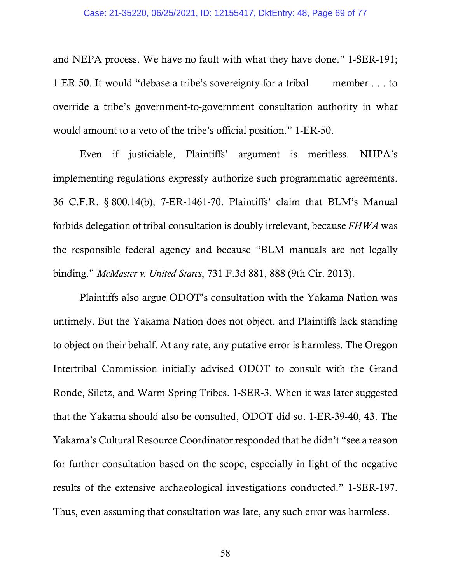#### Case: 21-35220, 06/25/2021, ID: 12155417, DktEntry: 48, Page 69 of 77

and NEPA process. We have no fault with what they have done." 1-SER-191; 1-ER-50. It would "debase a tribe's sovereignty for a tribal member... to override a tribe's government-to-government consultation authority in what would amount to a veto of the tribe's official position." 1-ER-50.

Even if justiciable, Plaintiffs' argument is meritless. NHPA's implementing regulations expressly authorize such programmatic agreements. 36 C.F.R. §-800.14(b); 7-ER-1461-70. Plaintiffs' claim that BLM's Manual forbids delegation of tribal consultation is doubly irrelevant, because *FHWA* was the responsible federal agency and because "BLM manuals are not legally binding." *McMaster v. United States*, 731 F.3d 881, 888 (9th Cir. 2013).

Plaintiffs also argue ODOT's consultation with the Yakama Nation was untimely. But the Yakama Nation does not object, and Plaintiffs lack standing to object on their behalf. At any rate, any putative error is harmless. The Oregon Intertribal Commission initially advised ODOT to consult with the Grand Ronde, Siletz, and Warm Spring Tribes. 1-SER-3. When it was later suggested that the Yakama should also be consulted, ODOT did so. 1-ER-39-40, 43. The Yakama's Cultural Resource Coordinator responded that he didn't "see a reason for further consultation based on the scope, especially in light of the negative results of the extensive archaeological investigations conducted." 1-SER-197. Thus, even assuming that consultation was late, any such error was harmless.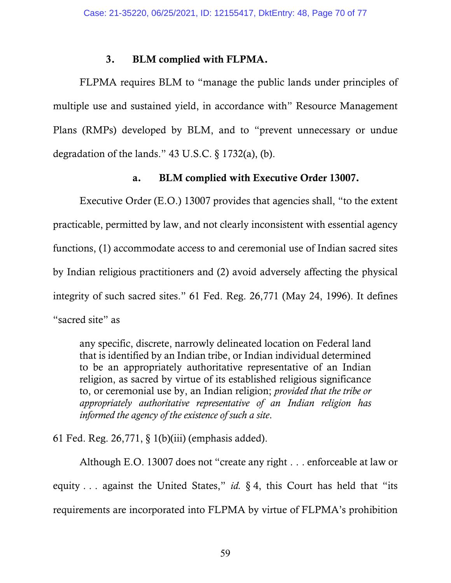### 3. BLM complied with FLPMA.

 FLPMA requires BLM to "manage the public lands under principles of multiple use and sustained yield, in accordance with" Resource Management Plans (RMPs) developed by BLM, and to "prevent unnecessary or undue degradation of the lands." 43 U.S.C.  $\S$  1732(a), (b).

## a. BLM complied with Executive Order 13007.

Executive Order (E.O.) 13007 provides that agencies shall, "to the extent practicable, permitted by law, and not clearly inconsistent with essential agency functions, (1) accommodate access to and ceremonial use of Indian sacred sites by Indian religious practitioners and (2) avoid adversely affecting the physical integrity of such sacred sites." 61 Fed. Reg. 26,771 (May 24, 1996). It defines "sacred site" as

any specific, discrete, narrowly delineated location on Federal land that is identified by an Indian tribe, or Indian individual determined to be an appropriately authoritative representative of an Indian religion, as sacred by virtue of its established religious significance to, or ceremonial use by, an Indian religion; *provided that the tribe or appropriately authoritative representative of an Indian religion has informed the agency of the existence of such a site*.

61 Fed. Reg.  $26,771, \S$  1(b)(iii) (emphasis added).

Although E.O. 13007 does not "create any right...enforceable at law or equity... against the United States," *id.*  $\S 4$ , this Court has held that "its requirements are incorporated into FLPMA by virtue of FLPMA's prohibition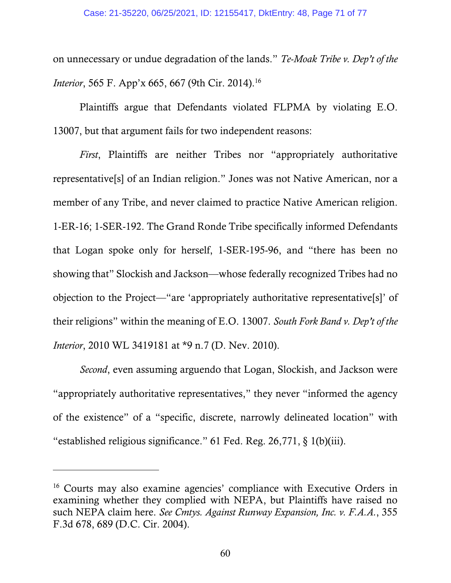on unnecessary or undue degradation of the lands." *Te-Moak Tribe v. Dep't of the Interior*, 565 F. App'x 665, 667 (9th Cir. 2014).<sup>16</sup>

Plaintiffs argue that Defendants violated FLPMA by violating E.O. 13007, but that argument fails for two independent reasons:

*First*, Plaintiffs are neither Tribes nor "appropriately authoritative representative[s] of an Indian religion." Jones was not Native American, nor a member of any Tribe, and never claimed to practice Native American religion. 1-ER-16; 1-SER-192. The Grand Ronde Tribe specifically informed Defendants that Logan spoke only for herself, 1-SER-195-96, and "there has been no showing that" Slockish and Jackson—whose federally recognized Tribes had no objection to the Project—"are 'appropriately authoritative representative[s]' of their religions" within the meaning of E.O. 13007. *South Fork Band v. Dep't of the Interior*, 2010 WL 3419181 at \*9 n.7 (D. Nev. 2010).

*Second*, even assuming arguendo that Logan, Slockish, and Jackson were "appropriately authoritative representatives," they never "informed the agency of the existence" of a "specific, discrete, narrowly delineated location" with "established religious significance." 61 Fed. Reg.  $26,771$ ,  $\S$  1(b)(iii).

<sup>16</sup> Courts may also examine agencies' compliance with Executive Orders in examining whether they complied with NEPA, but Plaintiffs have raised no such NEPA claim here. *See Cmtys. Against Runway Expansion, Inc. v. F.A.A.*, 355 F.3d 678, 689 (D.C. Cir. 2004).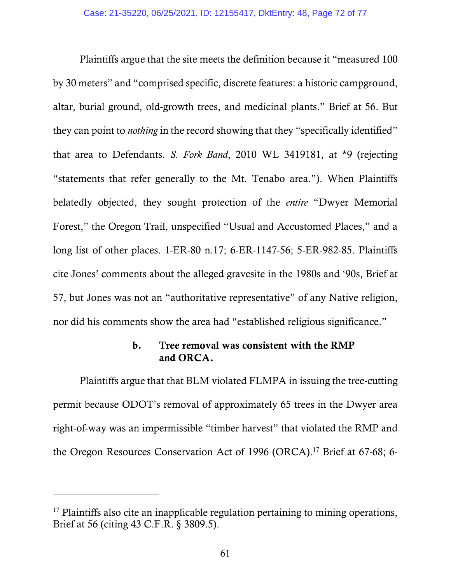Plaintiffs argue that the site meets the definition because it "measured 100 by 30 meters" and "comprised specific, discrete features: a historic campground, altar, burial ground, old-growth trees, and medicinal plants." Brief at 56. But they can point to *nothing* in the record showing that they "specifically identified" that area to Defendants. *S. Fork Band*, 2010 WL 3419181, at \*9 (rejecting "statements that refer generally to the Mt. Tenabo area."). When Plaintiffs belatedly objected, they sought protection of the *entire* "Dwyer Memorial Forest," the Oregon Trail, unspecified "Usual and Accustomed Places," and a long list of other places. 1-ER-80 n.17; 6-ER-1147-56; 5-ER-982-85. Plaintiffs cite Jones' comments about the alleged gravesite in the 1980s and '90s, Brief at 57, but Jones was not an "authoritative representative" of any Native religion, nor did his comments show the area had "established religious significance."

# b. Tree removal was consistent with the RMP and ORCA.

 Plaintiffs argue that that BLM violated FLMPA in issuing the tree-cutting permit because ODOT's removal of approximately 65 trees in the Dwyer area right-of-way was an impermissible "timber harvest" that violated the RMP and the Oregon Resources Conservation Act of 1996 (ORCA).<sup>17</sup> Brief at 67-68; 6-

<sup>&</sup>lt;sup>17</sup> Plaintiffs also cite an inapplicable regulation pertaining to mining operations, Brief at 56 (citing 43 C.F.R. §-3809.5).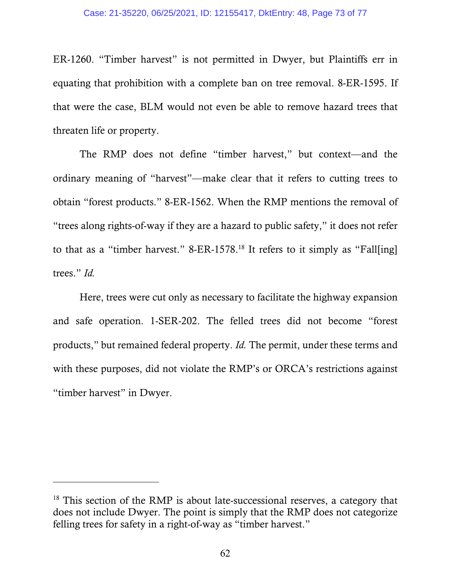#### Case: 21-35220, 06/25/2021, ID: 12155417, DktEntry: 48, Page 73 of 77

ER-1260. "Timber harvest" is not permitted in Dwyer, but Plaintiffs err in equating that prohibition with a complete ban on tree removal. 8-ER-1595. If that were the case, BLM would not even be able to remove hazard trees that threaten life or property.

 The RMP does not define "timber harvest," but context—and the ordinary meaning of "harvest"—make clear that it refers to cutting trees to obtain "forest products." 8-ER-1562. When the RMP mentions the removal of "trees along rights-of-way if they are a hazard to public safety," it does not refer to that as a "timber harvest." 8-ER-1578.18 It refers to it simply as "Fall[ing] trees." *Id.*

Here, trees were cut only as necessary to facilitate the highway expansion and safe operation. 1-SER-202. The felled trees did not become "forest products," but remained federal property. *Id.* The permit, under these terms and with these purposes, did not violate the RMP's or ORCA's restrictions against "timber harvest" in Dwyer.

-

<sup>&</sup>lt;sup>18</sup> This section of the RMP is about late-successional reserves, a category that does not include Dwyer. The point is simply that the RMP does not categorize felling trees for safety in a right-of-way as "timber harvest."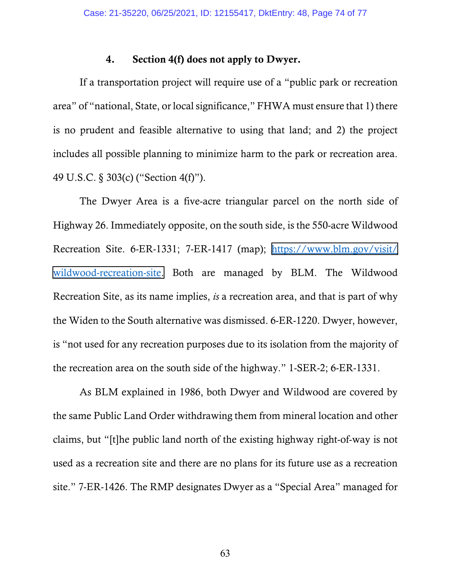## 4. Section 4(f) does not apply to Dwyer.

If a transportation project will require use of a "public park or recreation area" of "national, State, or local significance," FHWA must ensure that 1) there is no prudent and feasible alternative to using that land; and 2) the project includes all possible planning to minimize harm to the park or recreation area. 49 U.S.C. §-303(c) ("Section 4(f)").

The Dwyer Area is a five-acre triangular parcel on the north side of Highway 26. Immediately opposite, on the south side, is the 550-acre Wildwood Recreation Site. 6-ER-1331; 7-ER-1417 (map); [https://www.blm.gov/visit/](https://www.blm.gov/visit/wildwood-recreation-site) [wildwood-recreation-site.](https://www.blm.gov/visit/wildwood-recreation-site) Both are managed by BLM. The Wildwood Recreation Site, as its name implies, *is* a recreation area, and that is part of why the Widen to the South alternative was dismissed. 6-ER-1220. Dwyer, however, is "not used for any recreation purposes due to its isolation from the majority of the recreation area on the south side of the highway." 1-SER-2; 6-ER-1331.

As BLM explained in 1986, both Dwyer and Wildwood are covered by the same Public Land Order withdrawing them from mineral location and other claims, but "[t]he public land north of the existing highway right-of-way is not used as a recreation site and there are no plans for its future use as a recreation site." 7-ER-1426. The RMP designates Dwyer as a "Special Area" managed for

63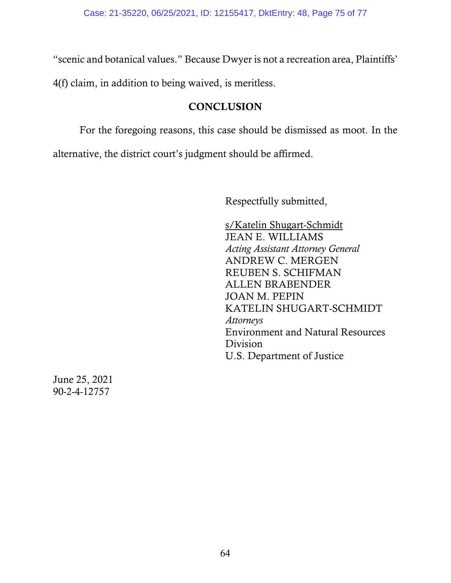"scenic and botanical values." Because Dwyer is not a recreation area, Plaintiffs'

4(f) claim, in addition to being waived, is meritless.

# **CONCLUSION**

 For the foregoing reasons, this case should be dismissed as moot. In the alternative, the district court's judgment should be affirmed.

Respectfully submitted,

s/Katelin Shugart-Schmidt JEAN E. WILLIAMS *Acting Assistant Attorney General*  ANDREW C. MERGEN REUBEN S. SCHIFMAN ALLEN BRABENDER JOAN M. PEPIN KATELIN SHUGART-SCHMIDT *Attorneys*  Environment and Natural Resources Division U.S. Department of Justice

June 25, 2021 90-2-4-12757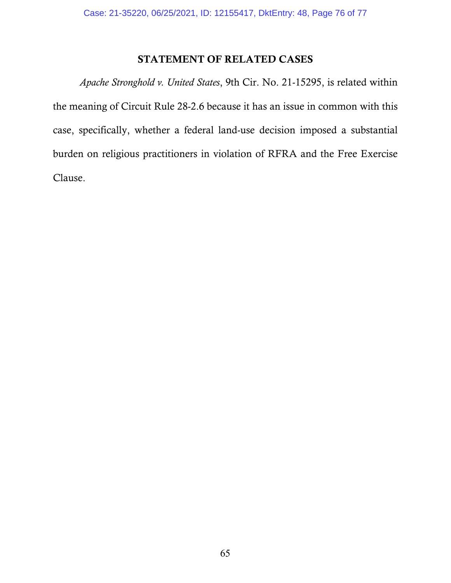## STATEMENT OF RELATED CASES

*Apache Stronghold v. United States*, 9th Cir. No. 21-15295, is related within the meaning of Circuit Rule 28-2.6 because it has an issue in common with this case, specifically, whether a federal land-use decision imposed a substantial burden on religious practitioners in violation of RFRA and the Free Exercise Clause.